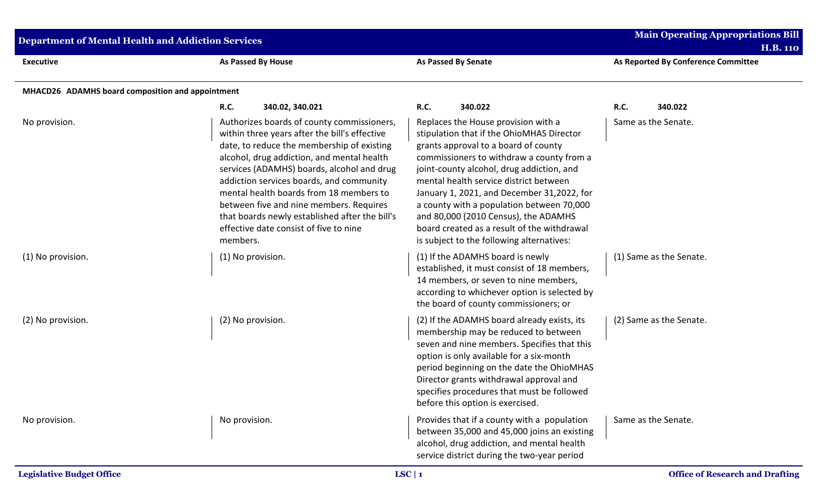| <b>Department of Mental Health and Addiction Services</b> |                                                                                                                                                                                                                                                                                                                                                                                                                                                                                 |                                                                                                                                                                                                                                                                                                                                                                                                                                                                                              | <b>Main Operating Appropriations Bill</b><br><b>H.B. 110</b> |
|-----------------------------------------------------------|---------------------------------------------------------------------------------------------------------------------------------------------------------------------------------------------------------------------------------------------------------------------------------------------------------------------------------------------------------------------------------------------------------------------------------------------------------------------------------|----------------------------------------------------------------------------------------------------------------------------------------------------------------------------------------------------------------------------------------------------------------------------------------------------------------------------------------------------------------------------------------------------------------------------------------------------------------------------------------------|--------------------------------------------------------------|
| <b>Executive</b>                                          | <b>As Passed By House</b>                                                                                                                                                                                                                                                                                                                                                                                                                                                       | <b>As Passed By Senate</b>                                                                                                                                                                                                                                                                                                                                                                                                                                                                   | As Reported By Conference Committee                          |
| MHACD26 ADAMHS board composition and appointment          |                                                                                                                                                                                                                                                                                                                                                                                                                                                                                 |                                                                                                                                                                                                                                                                                                                                                                                                                                                                                              |                                                              |
|                                                           | <b>R.C.</b><br>340.02, 340.021                                                                                                                                                                                                                                                                                                                                                                                                                                                  | <b>R.C.</b><br>340.022                                                                                                                                                                                                                                                                                                                                                                                                                                                                       | R.C.<br>340.022                                              |
| No provision.                                             | Authorizes boards of county commissioners,<br>within three years after the bill's effective<br>date, to reduce the membership of existing<br>alcohol, drug addiction, and mental health<br>services (ADAMHS) boards, alcohol and drug<br>addiction services boards, and community<br>mental health boards from 18 members to<br>between five and nine members. Requires<br>that boards newly established after the bill's<br>effective date consist of five to nine<br>members. | Replaces the House provision with a<br>stipulation that if the OhioMHAS Director<br>grants approval to a board of county<br>commissioners to withdraw a county from a<br>joint-county alcohol, drug addiction, and<br>mental health service district between<br>January 1, 2021, and December 31, 2022, for<br>a county with a population between 70,000<br>and 80,000 (2010 Census), the ADAMHS<br>board created as a result of the withdrawal<br>is subject to the following alternatives: | Same as the Senate.                                          |
| (1) No provision.                                         | (1) No provision.                                                                                                                                                                                                                                                                                                                                                                                                                                                               | (1) If the ADAMHS board is newly<br>established, it must consist of 18 members,<br>14 members, or seven to nine members,<br>according to whichever option is selected by<br>the board of county commissioners; or                                                                                                                                                                                                                                                                            | (1) Same as the Senate.                                      |
| (2) No provision.                                         | (2) No provision.                                                                                                                                                                                                                                                                                                                                                                                                                                                               | (2) If the ADAMHS board already exists, its<br>membership may be reduced to between<br>seven and nine members. Specifies that this<br>option is only available for a six-month<br>period beginning on the date the OhioMHAS<br>Director grants withdrawal approval and<br>specifies procedures that must be followed<br>before this option is exercised.                                                                                                                                     | (2) Same as the Senate.                                      |
| No provision.                                             | No provision.                                                                                                                                                                                                                                                                                                                                                                                                                                                                   | Provides that if a county with a population<br>between 35,000 and 45,000 joins an existing<br>alcohol, drug addiction, and mental health<br>service district during the two-year period                                                                                                                                                                                                                                                                                                      | Same as the Senate.                                          |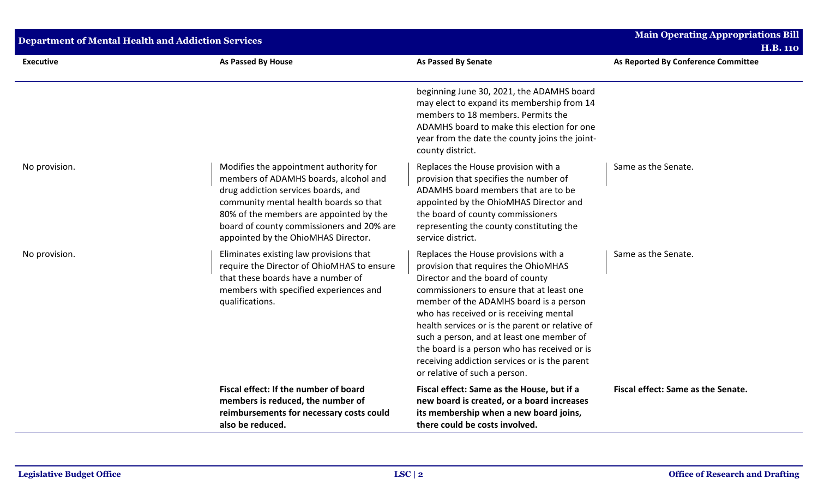| <b>Department of Mental Health and Addiction Services</b> |                                                                                                                                                                                                                                                                                                 |                                                                                                                                                                                                                                                                                                                                                                                                                                                                                      | <b>Main Operating Appropriations Bill</b>              |
|-----------------------------------------------------------|-------------------------------------------------------------------------------------------------------------------------------------------------------------------------------------------------------------------------------------------------------------------------------------------------|--------------------------------------------------------------------------------------------------------------------------------------------------------------------------------------------------------------------------------------------------------------------------------------------------------------------------------------------------------------------------------------------------------------------------------------------------------------------------------------|--------------------------------------------------------|
| <b>Executive</b>                                          | As Passed By House                                                                                                                                                                                                                                                                              | <b>As Passed By Senate</b>                                                                                                                                                                                                                                                                                                                                                                                                                                                           | <b>H.B. 110</b><br>As Reported By Conference Committee |
|                                                           |                                                                                                                                                                                                                                                                                                 | beginning June 30, 2021, the ADAMHS board<br>may elect to expand its membership from 14<br>members to 18 members. Permits the<br>ADAMHS board to make this election for one<br>year from the date the county joins the joint-<br>county district.                                                                                                                                                                                                                                    |                                                        |
| No provision.                                             | Modifies the appointment authority for<br>members of ADAMHS boards, alcohol and<br>drug addiction services boards, and<br>community mental health boards so that<br>80% of the members are appointed by the<br>board of county commissioners and 20% are<br>appointed by the OhioMHAS Director. | Replaces the House provision with a<br>provision that specifies the number of<br>ADAMHS board members that are to be<br>appointed by the OhioMHAS Director and<br>the board of county commissioners<br>representing the county constituting the<br>service district.                                                                                                                                                                                                                 | Same as the Senate.                                    |
| No provision.                                             | Eliminates existing law provisions that<br>require the Director of OhioMHAS to ensure<br>that these boards have a number of<br>members with specified experiences and<br>qualifications.                                                                                                        | Replaces the House provisions with a<br>provision that requires the OhioMHAS<br>Director and the board of county<br>commissioners to ensure that at least one<br>member of the ADAMHS board is a person<br>who has received or is receiving mental<br>health services or is the parent or relative of<br>such a person, and at least one member of<br>the board is a person who has received or is<br>receiving addiction services or is the parent<br>or relative of such a person. | Same as the Senate.                                    |
|                                                           | Fiscal effect: If the number of board<br>members is reduced, the number of<br>reimbursements for necessary costs could<br>also be reduced.                                                                                                                                                      | Fiscal effect: Same as the House, but if a<br>new board is created, or a board increases<br>its membership when a new board joins,<br>there could be costs involved.                                                                                                                                                                                                                                                                                                                 | Fiscal effect: Same as the Senate.                     |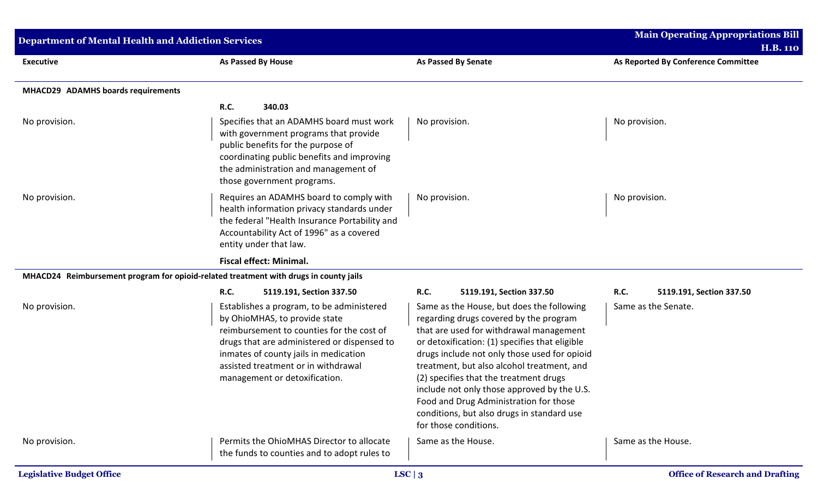| <b>Department of Mental Health and Addiction Services</b> |                                                                                                                                                                                                                                                                                         |                                                                                                                                                                                                                                                                                                                                                                                                                                                                                          | <b>Main Operating Appropriations Bill</b><br><b>H.B. 110</b> |
|-----------------------------------------------------------|-----------------------------------------------------------------------------------------------------------------------------------------------------------------------------------------------------------------------------------------------------------------------------------------|------------------------------------------------------------------------------------------------------------------------------------------------------------------------------------------------------------------------------------------------------------------------------------------------------------------------------------------------------------------------------------------------------------------------------------------------------------------------------------------|--------------------------------------------------------------|
| <b>Executive</b>                                          | As Passed By House                                                                                                                                                                                                                                                                      | <b>As Passed By Senate</b>                                                                                                                                                                                                                                                                                                                                                                                                                                                               | As Reported By Conference Committee                          |
| MHACD29 ADAMHS boards requirements                        |                                                                                                                                                                                                                                                                                         |                                                                                                                                                                                                                                                                                                                                                                                                                                                                                          |                                                              |
|                                                           | <b>R.C.</b><br>340.03                                                                                                                                                                                                                                                                   |                                                                                                                                                                                                                                                                                                                                                                                                                                                                                          |                                                              |
| No provision.                                             | Specifies that an ADAMHS board must work<br>with government programs that provide<br>public benefits for the purpose of<br>coordinating public benefits and improving<br>the administration and management of<br>those government programs.                                             | No provision.                                                                                                                                                                                                                                                                                                                                                                                                                                                                            | No provision.                                                |
| No provision.                                             | Requires an ADAMHS board to comply with<br>health information privacy standards under<br>the federal "Health Insurance Portability and<br>Accountability Act of 1996" as a covered<br>entity under that law.                                                                            | No provision.                                                                                                                                                                                                                                                                                                                                                                                                                                                                            | No provision.                                                |
|                                                           | <b>Fiscal effect: Minimal.</b>                                                                                                                                                                                                                                                          |                                                                                                                                                                                                                                                                                                                                                                                                                                                                                          |                                                              |
|                                                           | MHACD24 Reimbursement program for opioid-related treatment with drugs in county jails                                                                                                                                                                                                   |                                                                                                                                                                                                                                                                                                                                                                                                                                                                                          |                                                              |
|                                                           | R.C.<br>5119.191, Section 337.50                                                                                                                                                                                                                                                        | <b>R.C.</b><br>5119.191, Section 337.50                                                                                                                                                                                                                                                                                                                                                                                                                                                  | <b>R.C.</b><br>5119.191, Section 337.50                      |
| No provision.                                             | Establishes a program, to be administered<br>by OhioMHAS, to provide state<br>reimbursement to counties for the cost of<br>drugs that are administered or dispensed to<br>inmates of county jails in medication<br>assisted treatment or in withdrawal<br>management or detoxification. | Same as the House, but does the following<br>regarding drugs covered by the program<br>that are used for withdrawal management<br>or detoxification: (1) specifies that eligible<br>drugs include not only those used for opioid<br>treatment, but also alcohol treatment, and<br>(2) specifies that the treatment drugs<br>include not only those approved by the U.S.<br>Food and Drug Administration for those<br>conditions, but also drugs in standard use<br>for those conditions. | Same as the Senate.                                          |
| No provision.                                             | Permits the OhioMHAS Director to allocate<br>the funds to counties and to adopt rules to                                                                                                                                                                                                | Same as the House.                                                                                                                                                                                                                                                                                                                                                                                                                                                                       | Same as the House.                                           |
| <b>Legislative Budget Office</b>                          |                                                                                                                                                                                                                                                                                         | LSC   3                                                                                                                                                                                                                                                                                                                                                                                                                                                                                  | <b>Office of Research and Drafting</b>                       |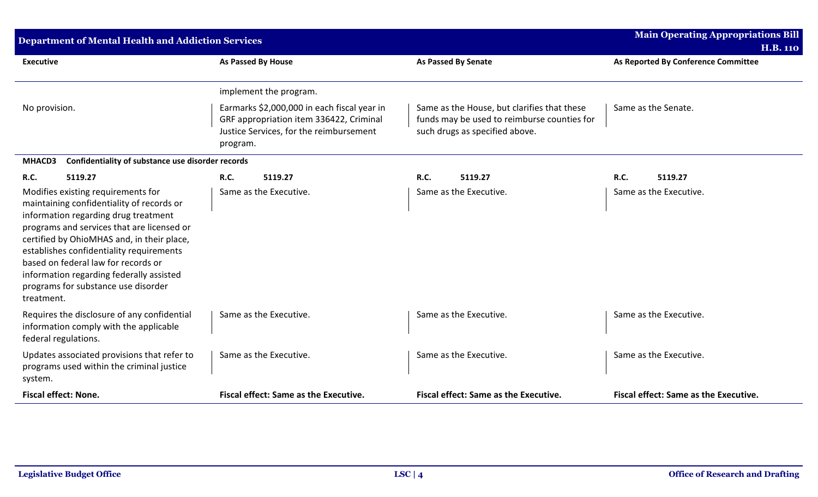| <b>Department of Mental Health and Addiction Services</b>                                                                                                                                                                                                                                                                                                                                               |                                                                                                                                               |                                                                                                                              | <b>Main Operating Appropriations Bill</b><br><b>H.B. 110</b> |  |
|---------------------------------------------------------------------------------------------------------------------------------------------------------------------------------------------------------------------------------------------------------------------------------------------------------------------------------------------------------------------------------------------------------|-----------------------------------------------------------------------------------------------------------------------------------------------|------------------------------------------------------------------------------------------------------------------------------|--------------------------------------------------------------|--|
| <b>Executive</b>                                                                                                                                                                                                                                                                                                                                                                                        | <b>As Passed By House</b>                                                                                                                     | <b>As Passed By Senate</b>                                                                                                   | As Reported By Conference Committee                          |  |
|                                                                                                                                                                                                                                                                                                                                                                                                         | implement the program.                                                                                                                        |                                                                                                                              |                                                              |  |
| No provision.                                                                                                                                                                                                                                                                                                                                                                                           | Earmarks \$2,000,000 in each fiscal year in<br>GRF appropriation item 336422, Criminal<br>Justice Services, for the reimbursement<br>program. | Same as the House, but clarifies that these<br>funds may be used to reimburse counties for<br>such drugs as specified above. | Same as the Senate.                                          |  |
| Confidentiality of substance use disorder records<br>MHACD3                                                                                                                                                                                                                                                                                                                                             |                                                                                                                                               |                                                                                                                              |                                                              |  |
| R.C.<br>5119.27                                                                                                                                                                                                                                                                                                                                                                                         | R.C.<br>5119.27                                                                                                                               | 5119.27<br>R.C.                                                                                                              | R.C.<br>5119.27                                              |  |
| Modifies existing requirements for<br>maintaining confidentiality of records or<br>information regarding drug treatment<br>programs and services that are licensed or<br>certified by OhioMHAS and, in their place,<br>establishes confidentiality requirements<br>based on federal law for records or<br>information regarding federally assisted<br>programs for substance use disorder<br>treatment. | Same as the Executive.                                                                                                                        | Same as the Executive.                                                                                                       | Same as the Executive.                                       |  |
| Requires the disclosure of any confidential<br>information comply with the applicable<br>federal regulations.                                                                                                                                                                                                                                                                                           | Same as the Executive.                                                                                                                        | Same as the Executive.                                                                                                       | Same as the Executive.                                       |  |
| Updates associated provisions that refer to<br>programs used within the criminal justice<br>system.                                                                                                                                                                                                                                                                                                     | Same as the Executive.                                                                                                                        | Same as the Executive.                                                                                                       | Same as the Executive.                                       |  |
| <b>Fiscal effect: None.</b>                                                                                                                                                                                                                                                                                                                                                                             | Fiscal effect: Same as the Executive.                                                                                                         | Fiscal effect: Same as the Executive.                                                                                        | Fiscal effect: Same as the Executive.                        |  |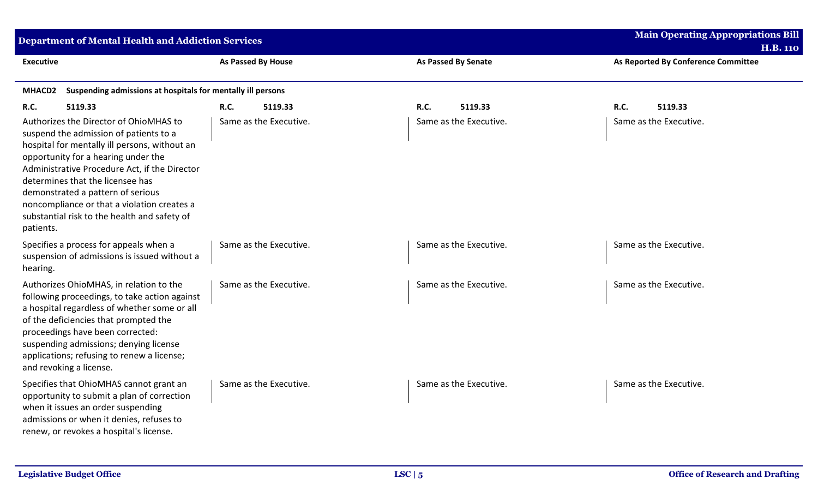| <b>Department of Mental Health and Addiction Services</b>                                                                                                                                                                                                                                                                                                                                                      |                        | <b>Main Operating Appropriations Bill</b><br><b>H.B. 110</b> |                                     |
|----------------------------------------------------------------------------------------------------------------------------------------------------------------------------------------------------------------------------------------------------------------------------------------------------------------------------------------------------------------------------------------------------------------|------------------------|--------------------------------------------------------------|-------------------------------------|
| <b>Executive</b>                                                                                                                                                                                                                                                                                                                                                                                               | As Passed By House     | <b>As Passed By Senate</b>                                   | As Reported By Conference Committee |
| Suspending admissions at hospitals for mentally ill persons<br><b>MHACD2</b>                                                                                                                                                                                                                                                                                                                                   |                        |                                                              |                                     |
| R.C.<br>5119.33                                                                                                                                                                                                                                                                                                                                                                                                | <b>R.C.</b><br>5119.33 | R.C.<br>5119.33                                              | R.C.<br>5119.33                     |
| Authorizes the Director of OhioMHAS to<br>suspend the admission of patients to a<br>hospital for mentally ill persons, without an<br>opportunity for a hearing under the<br>Administrative Procedure Act, if the Director<br>determines that the licensee has<br>demonstrated a pattern of serious<br>noncompliance or that a violation creates a<br>substantial risk to the health and safety of<br>patients. | Same as the Executive. | Same as the Executive.                                       | Same as the Executive.              |
| Specifies a process for appeals when a<br>suspension of admissions is issued without a<br>hearing.                                                                                                                                                                                                                                                                                                             | Same as the Executive. | Same as the Executive.                                       | Same as the Executive.              |
| Authorizes OhioMHAS, in relation to the<br>following proceedings, to take action against<br>a hospital regardless of whether some or all<br>of the deficiencies that prompted the<br>proceedings have been corrected:<br>suspending admissions; denying license<br>applications; refusing to renew a license;<br>and revoking a license.                                                                       | Same as the Executive. | Same as the Executive.                                       | Same as the Executive.              |
| Specifies that OhioMHAS cannot grant an<br>opportunity to submit a plan of correction<br>when it issues an order suspending<br>admissions or when it denies, refuses to<br>renew, or revokes a hospital's license.                                                                                                                                                                                             | Same as the Executive. | Same as the Executive.                                       | Same as the Executive.              |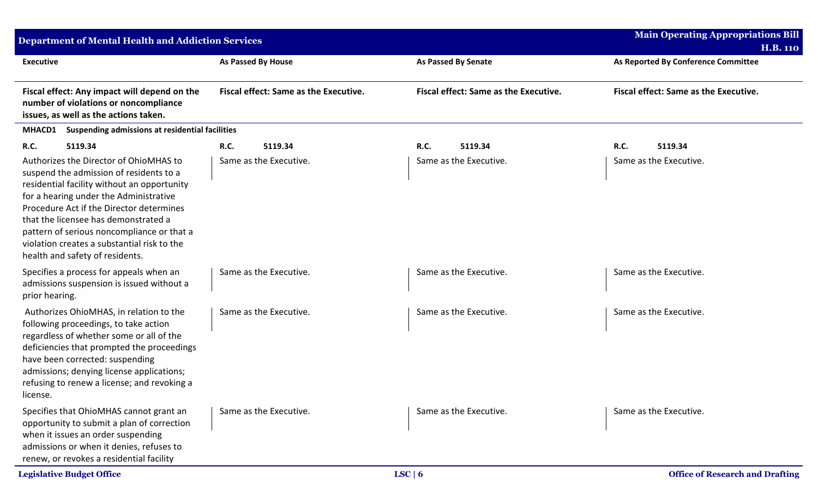| <b>Department of Mental Health and Addiction Services</b>                                                                                                                                                                                                                                                                                                                                      |                                              |                                              | <b>Main Operating Appropriations Bill</b><br><b>H.B. 110</b> |
|------------------------------------------------------------------------------------------------------------------------------------------------------------------------------------------------------------------------------------------------------------------------------------------------------------------------------------------------------------------------------------------------|----------------------------------------------|----------------------------------------------|--------------------------------------------------------------|
| <b>Executive</b>                                                                                                                                                                                                                                                                                                                                                                               | As Passed By House                           | <b>As Passed By Senate</b>                   | As Reported By Conference Committee                          |
| Fiscal effect: Any impact will depend on the<br>number of violations or noncompliance<br>issues, as well as the actions taken.                                                                                                                                                                                                                                                                 | <b>Fiscal effect: Same as the Executive.</b> | <b>Fiscal effect: Same as the Executive.</b> | Fiscal effect: Same as the Executive.                        |
| Suspending admissions at residential facilities<br>MHACD1                                                                                                                                                                                                                                                                                                                                      |                                              |                                              |                                                              |
| 5119.34<br><b>R.C.</b>                                                                                                                                                                                                                                                                                                                                                                         | <b>R.C.</b><br>5119.34                       | <b>R.C.</b><br>5119.34                       | <b>R.C.</b><br>5119.34                                       |
| Authorizes the Director of OhioMHAS to<br>suspend the admission of residents to a<br>residential facility without an opportunity<br>for a hearing under the Administrative<br>Procedure Act if the Director determines<br>that the licensee has demonstrated a<br>pattern of serious noncompliance or that a<br>violation creates a substantial risk to the<br>health and safety of residents. | Same as the Executive.                       | Same as the Executive.                       | Same as the Executive.                                       |
| Specifies a process for appeals when an<br>admissions suspension is issued without a<br>prior hearing.                                                                                                                                                                                                                                                                                         | Same as the Executive.                       | Same as the Executive.                       | Same as the Executive.                                       |
| Authorizes OhioMHAS, in relation to the<br>following proceedings, to take action<br>regardless of whether some or all of the<br>deficiencies that prompted the proceedings<br>have been corrected: suspending<br>admissions; denying license applications;<br>refusing to renew a license; and revoking a<br>license.                                                                          | Same as the Executive.                       | Same as the Executive.                       | Same as the Executive.                                       |
| Specifies that OhioMHAS cannot grant an<br>opportunity to submit a plan of correction<br>when it issues an order suspending<br>admissions or when it denies, refuses to<br>renew, or revokes a residential facility                                                                                                                                                                            | Same as the Executive.                       | Same as the Executive.                       | Same as the Executive.                                       |
| <b>Legislative Budget Office</b>                                                                                                                                                                                                                                                                                                                                                               |                                              | LSC   6                                      | <b>Office of Research and Drafting</b>                       |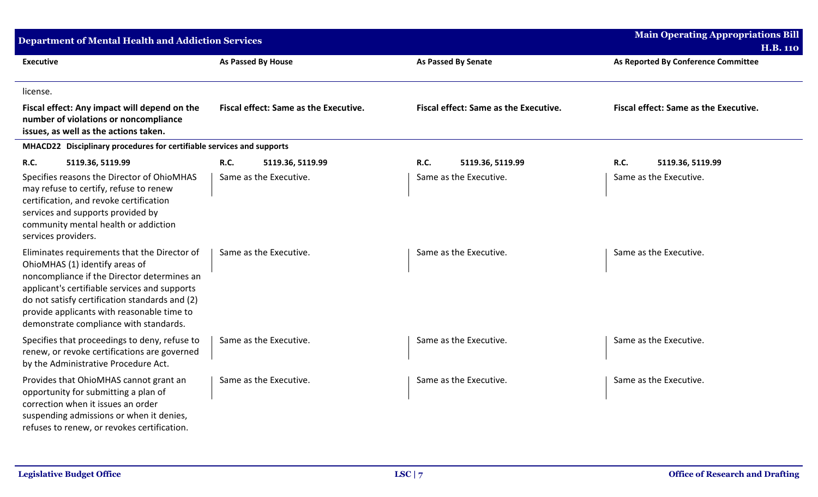| <b>Department of Mental Health and Addiction Services</b>                                                                                                                                                                                                                                                                |                                              |                                       | <b>Main Operating Appropriations Bill</b><br><b>H.B. 110</b> |
|--------------------------------------------------------------------------------------------------------------------------------------------------------------------------------------------------------------------------------------------------------------------------------------------------------------------------|----------------------------------------------|---------------------------------------|--------------------------------------------------------------|
| <b>Executive</b>                                                                                                                                                                                                                                                                                                         | <b>As Passed By House</b>                    | <b>As Passed By Senate</b>            | As Reported By Conference Committee                          |
| license.                                                                                                                                                                                                                                                                                                                 |                                              |                                       |                                                              |
| Fiscal effect: Any impact will depend on the<br>number of violations or noncompliance<br>issues, as well as the actions taken.                                                                                                                                                                                           | <b>Fiscal effect: Same as the Executive.</b> | Fiscal effect: Same as the Executive. | Fiscal effect: Same as the Executive.                        |
| MHACD22 Disciplinary procedures for certifiable services and supports                                                                                                                                                                                                                                                    |                                              |                                       |                                                              |
| <b>R.C.</b><br>5119.36, 5119.99                                                                                                                                                                                                                                                                                          | R.C.<br>5119.36, 5119.99                     | <b>R.C.</b><br>5119.36, 5119.99       | <b>R.C.</b><br>5119.36, 5119.99                              |
| Specifies reasons the Director of OhioMHAS<br>may refuse to certify, refuse to renew<br>certification, and revoke certification<br>services and supports provided by<br>community mental health or addiction<br>services providers.                                                                                      | Same as the Executive.                       | Same as the Executive.                | Same as the Executive.                                       |
| Eliminates requirements that the Director of<br>OhioMHAS (1) identify areas of<br>noncompliance if the Director determines an<br>applicant's certifiable services and supports<br>do not satisfy certification standards and (2)<br>provide applicants with reasonable time to<br>demonstrate compliance with standards. | Same as the Executive.                       | Same as the Executive.                | Same as the Executive.                                       |
| Specifies that proceedings to deny, refuse to<br>renew, or revoke certifications are governed<br>by the Administrative Procedure Act.                                                                                                                                                                                    | Same as the Executive.                       | Same as the Executive.                | Same as the Executive.                                       |
| Provides that OhioMHAS cannot grant an<br>opportunity for submitting a plan of<br>correction when it issues an order<br>suspending admissions or when it denies,<br>refuses to renew, or revokes certification.                                                                                                          | Same as the Executive.                       | Same as the Executive.                | Same as the Executive.                                       |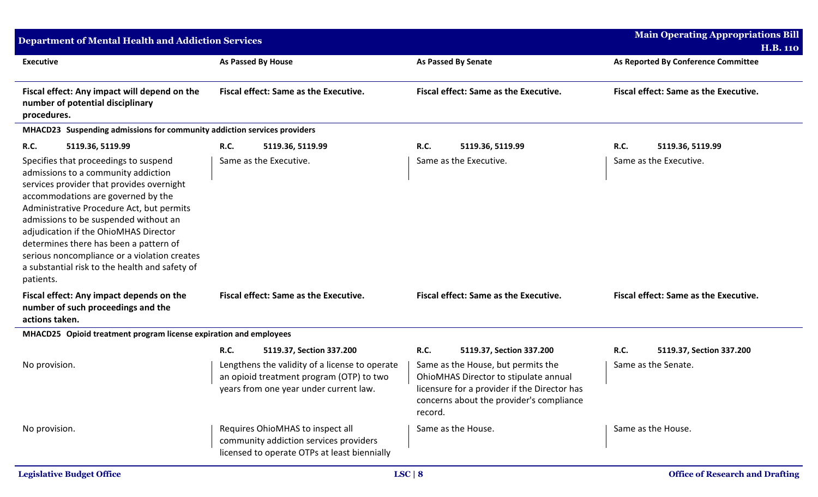| <b>Department of Mental Health and Addiction Services</b>                                                                                                                                                                                                                                                                                                                                                                                               |                                                                                                                                                                                 |                                                                                                                                                                                                                               | <b>Main Operating Appropriations Bill</b><br><b>H.B. 110</b> |
|---------------------------------------------------------------------------------------------------------------------------------------------------------------------------------------------------------------------------------------------------------------------------------------------------------------------------------------------------------------------------------------------------------------------------------------------------------|---------------------------------------------------------------------------------------------------------------------------------------------------------------------------------|-------------------------------------------------------------------------------------------------------------------------------------------------------------------------------------------------------------------------------|--------------------------------------------------------------|
| <b>Executive</b>                                                                                                                                                                                                                                                                                                                                                                                                                                        | <b>As Passed By House</b>                                                                                                                                                       | <b>As Passed By Senate</b>                                                                                                                                                                                                    | As Reported By Conference Committee                          |
| Fiscal effect: Any impact will depend on the<br>number of potential disciplinary<br>procedures.                                                                                                                                                                                                                                                                                                                                                         | <b>Fiscal effect: Same as the Executive.</b>                                                                                                                                    | <b>Fiscal effect: Same as the Executive.</b>                                                                                                                                                                                  | <b>Fiscal effect: Same as the Executive.</b>                 |
| MHACD23 Suspending admissions for community addiction services providers                                                                                                                                                                                                                                                                                                                                                                                |                                                                                                                                                                                 |                                                                                                                                                                                                                               |                                                              |
| <b>R.C.</b><br>5119.36, 5119.99                                                                                                                                                                                                                                                                                                                                                                                                                         | <b>R.C.</b><br>5119.36, 5119.99                                                                                                                                                 | <b>R.C.</b><br>5119.36, 5119.99                                                                                                                                                                                               | <b>R.C.</b><br>5119.36, 5119.99                              |
| Specifies that proceedings to suspend<br>admissions to a community addiction<br>services provider that provides overnight<br>accommodations are governed by the<br>Administrative Procedure Act, but permits<br>admissions to be suspended without an<br>adjudication if the OhioMHAS Director<br>determines there has been a pattern of<br>serious noncompliance or a violation creates<br>a substantial risk to the health and safety of<br>patients. | Same as the Executive.                                                                                                                                                          | Same as the Executive.                                                                                                                                                                                                        | Same as the Executive.                                       |
| Fiscal effect: Any impact depends on the<br>number of such proceedings and the<br>actions taken.                                                                                                                                                                                                                                                                                                                                                        | <b>Fiscal effect: Same as the Executive.</b>                                                                                                                                    | <b>Fiscal effect: Same as the Executive.</b>                                                                                                                                                                                  | Fiscal effect: Same as the Executive.                        |
| MHACD25 Opioid treatment program license expiration and employees                                                                                                                                                                                                                                                                                                                                                                                       |                                                                                                                                                                                 |                                                                                                                                                                                                                               |                                                              |
| No provision.                                                                                                                                                                                                                                                                                                                                                                                                                                           | <b>R.C.</b><br>5119.37, Section 337.200<br>Lengthens the validity of a license to operate<br>an opioid treatment program (OTP) to two<br>years from one year under current law. | <b>R.C.</b><br>5119.37, Section 337.200<br>Same as the House, but permits the<br>OhioMHAS Director to stipulate annual<br>licensure for a provider if the Director has<br>concerns about the provider's compliance<br>record. | R.C.<br>5119.37, Section 337.200<br>Same as the Senate.      |
| No provision.                                                                                                                                                                                                                                                                                                                                                                                                                                           | Requires OhioMHAS to inspect all<br>community addiction services providers<br>licensed to operate OTPs at least biennially                                                      | Same as the House.                                                                                                                                                                                                            | Same as the House.                                           |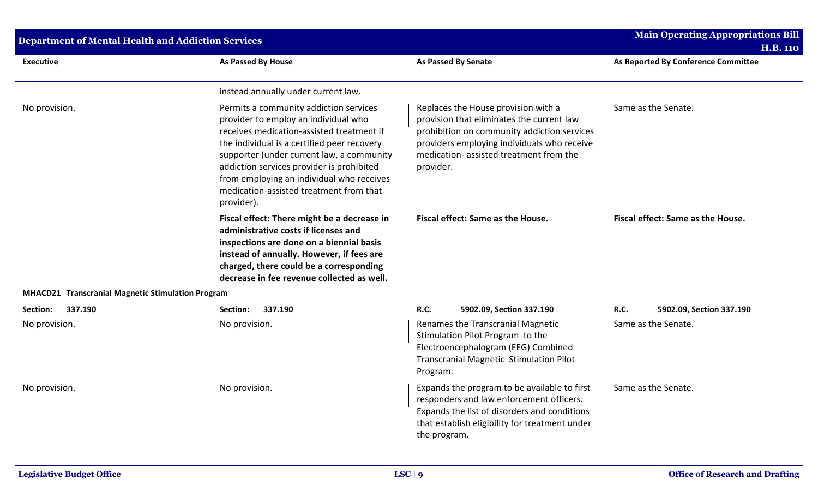| <b>Department of Mental Health and Addiction Services</b> |                                                                                                                                                                                                                                                                                                                                                                            |                                                                                                                                                                                                                                        | <b>Main Operating Appropriations Bill</b><br><b>H.B. 110</b>   |
|-----------------------------------------------------------|----------------------------------------------------------------------------------------------------------------------------------------------------------------------------------------------------------------------------------------------------------------------------------------------------------------------------------------------------------------------------|----------------------------------------------------------------------------------------------------------------------------------------------------------------------------------------------------------------------------------------|----------------------------------------------------------------|
| <b>Executive</b>                                          | As Passed By House                                                                                                                                                                                                                                                                                                                                                         | <b>As Passed By Senate</b>                                                                                                                                                                                                             | As Reported By Conference Committee                            |
|                                                           | instead annually under current law.                                                                                                                                                                                                                                                                                                                                        |                                                                                                                                                                                                                                        |                                                                |
| No provision.                                             | Permits a community addiction services<br>provider to employ an individual who<br>receives medication-assisted treatment if<br>the individual is a certified peer recovery<br>supporter (under current law, a community<br>addiction services provider is prohibited<br>from employing an individual who receives<br>medication-assisted treatment from that<br>provider). | Replaces the House provision with a<br>provision that eliminates the current law<br>prohibition on community addiction services<br>providers employing individuals who receive<br>medication- assisted treatment from the<br>provider. | Same as the Senate.                                            |
|                                                           | Fiscal effect: There might be a decrease in<br>administrative costs if licenses and<br>inspections are done on a biennial basis<br>instead of annually. However, if fees are<br>charged, there could be a corresponding<br>decrease in fee revenue collected as well.                                                                                                      | Fiscal effect: Same as the House.                                                                                                                                                                                                      | Fiscal effect: Same as the House.                              |
| MHACD21 Transcranial Magnetic Stimulation Program         |                                                                                                                                                                                                                                                                                                                                                                            |                                                                                                                                                                                                                                        |                                                                |
| 337.190<br>Section:<br>No provision.                      | 337.190<br>Section:<br>No provision.                                                                                                                                                                                                                                                                                                                                       | R.C.<br>5902.09, Section 337.190<br>Renames the Transcranial Magnetic<br>Stimulation Pilot Program to the<br>Electroencephalogram (EEG) Combined<br><b>Transcranial Magnetic Stimulation Pilot</b><br>Program.                         | <b>R.C.</b><br>5902.09, Section 337.190<br>Same as the Senate. |
| No provision.                                             | No provision.                                                                                                                                                                                                                                                                                                                                                              | Expands the program to be available to first<br>responders and law enforcement officers.<br>Expands the list of disorders and conditions<br>that establish eligibility for treatment under<br>the program.                             | Same as the Senate.                                            |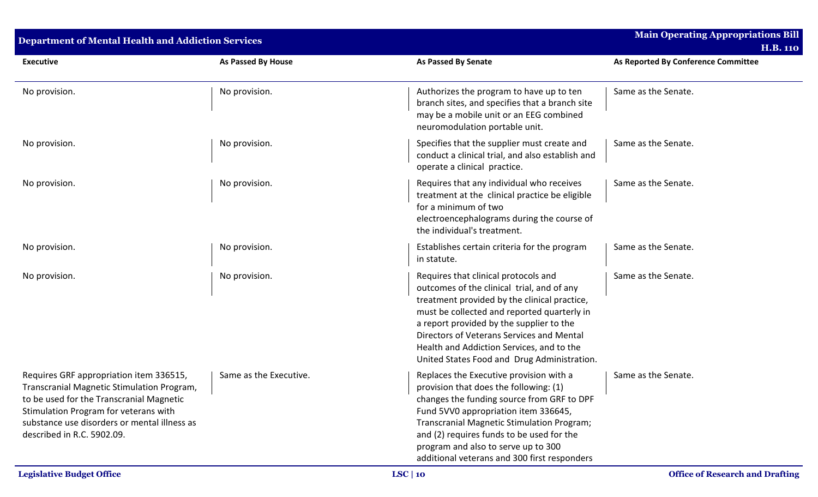| <b>Department of Mental Health and Addiction Services</b>                                                                                                                                                                                                |                        |                                                                                                                                                                                                                                                                                                                                                                        | <b>Main Operating Appropriations Bill</b><br><b>H.B. 110</b> |
|----------------------------------------------------------------------------------------------------------------------------------------------------------------------------------------------------------------------------------------------------------|------------------------|------------------------------------------------------------------------------------------------------------------------------------------------------------------------------------------------------------------------------------------------------------------------------------------------------------------------------------------------------------------------|--------------------------------------------------------------|
| <b>Executive</b>                                                                                                                                                                                                                                         | As Passed By House     | <b>As Passed By Senate</b>                                                                                                                                                                                                                                                                                                                                             | As Reported By Conference Committee                          |
| No provision.                                                                                                                                                                                                                                            | No provision.          | Authorizes the program to have up to ten<br>branch sites, and specifies that a branch site<br>may be a mobile unit or an EEG combined<br>neuromodulation portable unit.                                                                                                                                                                                                | Same as the Senate.                                          |
| No provision.                                                                                                                                                                                                                                            | No provision.          | Specifies that the supplier must create and<br>conduct a clinical trial, and also establish and<br>operate a clinical practice.                                                                                                                                                                                                                                        | Same as the Senate.                                          |
| No provision.                                                                                                                                                                                                                                            | No provision.          | Requires that any individual who receives<br>treatment at the clinical practice be eligible<br>for a minimum of two<br>electroencephalograms during the course of<br>the individual's treatment.                                                                                                                                                                       | Same as the Senate.                                          |
| No provision.                                                                                                                                                                                                                                            | No provision.          | Establishes certain criteria for the program<br>in statute.                                                                                                                                                                                                                                                                                                            | Same as the Senate.                                          |
| No provision.                                                                                                                                                                                                                                            | No provision.          | Requires that clinical protocols and<br>outcomes of the clinical trial, and of any<br>treatment provided by the clinical practice,<br>must be collected and reported quarterly in<br>a report provided by the supplier to the<br>Directors of Veterans Services and Mental<br>Health and Addiction Services, and to the<br>United States Food and Drug Administration. | Same as the Senate.                                          |
| Requires GRF appropriation item 336515,<br>Transcranial Magnetic Stimulation Program,<br>to be used for the Transcranial Magnetic<br>Stimulation Program for veterans with<br>substance use disorders or mental illness as<br>described in R.C. 5902.09. | Same as the Executive. | Replaces the Executive provision with a<br>provision that does the following: (1)<br>changes the funding source from GRF to DPF<br>Fund 5VV0 appropriation item 336645,<br>Transcranial Magnetic Stimulation Program;<br>and (2) requires funds to be used for the<br>program and also to serve up to 300<br>additional veterans and 300 first responders              | Same as the Senate.                                          |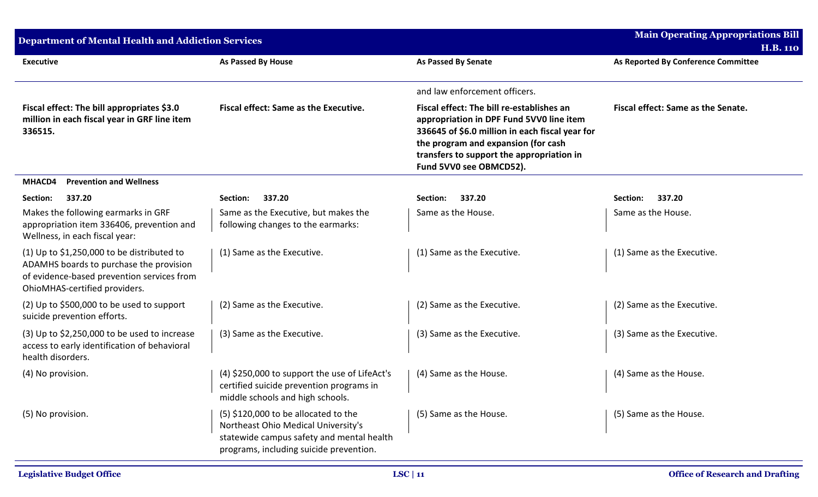| <b>Department of Mental Health and Addiction Services</b>                                                                                                             | <b>Main Operating Appropriations Bill</b><br><b>H.B. 110</b>                                                                                                          |                                                                                                                                                                                                                                                         |                                     |
|-----------------------------------------------------------------------------------------------------------------------------------------------------------------------|-----------------------------------------------------------------------------------------------------------------------------------------------------------------------|---------------------------------------------------------------------------------------------------------------------------------------------------------------------------------------------------------------------------------------------------------|-------------------------------------|
| <b>Executive</b>                                                                                                                                                      | <b>As Passed By House</b>                                                                                                                                             | <b>As Passed By Senate</b>                                                                                                                                                                                                                              | As Reported By Conference Committee |
|                                                                                                                                                                       |                                                                                                                                                                       | and law enforcement officers.                                                                                                                                                                                                                           |                                     |
| Fiscal effect: The bill appropriates \$3.0<br>million in each fiscal year in GRF line item<br>336515.                                                                 | <b>Fiscal effect: Same as the Executive.</b>                                                                                                                          | Fiscal effect: The bill re-establishes an<br>appropriation in DPF Fund 5VV0 line item<br>336645 of \$6.0 million in each fiscal year for<br>the program and expansion (for cash<br>transfers to support the appropriation in<br>Fund 5VV0 see OBMCD52). | Fiscal effect: Same as the Senate.  |
| <b>Prevention and Wellness</b><br>MHACD4                                                                                                                              |                                                                                                                                                                       |                                                                                                                                                                                                                                                         |                                     |
| Section:<br>337.20                                                                                                                                                    | 337.20<br>Section:                                                                                                                                                    | 337.20<br>Section:                                                                                                                                                                                                                                      | Section:<br>337.20                  |
| Makes the following earmarks in GRF<br>appropriation item 336406, prevention and<br>Wellness, in each fiscal year:                                                    | Same as the Executive, but makes the<br>following changes to the earmarks:                                                                                            | Same as the House.                                                                                                                                                                                                                                      | Same as the House.                  |
| (1) Up to $$1,250,000$ to be distributed to<br>ADAMHS boards to purchase the provision<br>of evidence-based prevention services from<br>OhioMHAS-certified providers. | (1) Same as the Executive.                                                                                                                                            | (1) Same as the Executive.                                                                                                                                                                                                                              | (1) Same as the Executive.          |
| $(2)$ Up to \$500,000 to be used to support<br>suicide prevention efforts.                                                                                            | (2) Same as the Executive.                                                                                                                                            | (2) Same as the Executive.                                                                                                                                                                                                                              | (2) Same as the Executive.          |
| $(3)$ Up to \$2,250,000 to be used to increase<br>access to early identification of behavioral<br>health disorders.                                                   | (3) Same as the Executive.                                                                                                                                            | (3) Same as the Executive.                                                                                                                                                                                                                              | (3) Same as the Executive.          |
| (4) No provision.                                                                                                                                                     | (4) \$250,000 to support the use of LifeAct's<br>certified suicide prevention programs in<br>middle schools and high schools.                                         | (4) Same as the House.                                                                                                                                                                                                                                  | (4) Same as the House.              |
| (5) No provision.                                                                                                                                                     | $(5)$ \$120,000 to be allocated to the<br>Northeast Ohio Medical University's<br>statewide campus safety and mental health<br>programs, including suicide prevention. | (5) Same as the House.                                                                                                                                                                                                                                  | (5) Same as the House.              |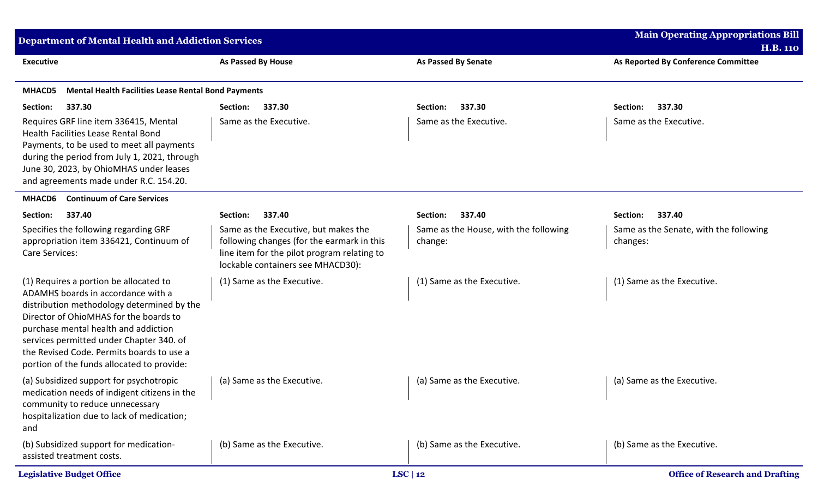| <b>Department of Mental Health and Addiction Services</b>                                                                                                                                                                                                                                                                                           |                                                                                                                                                                        |                                                  | <b>Main Operating Appropriations Bill</b><br><b>H.B. 110</b> |
|-----------------------------------------------------------------------------------------------------------------------------------------------------------------------------------------------------------------------------------------------------------------------------------------------------------------------------------------------------|------------------------------------------------------------------------------------------------------------------------------------------------------------------------|--------------------------------------------------|--------------------------------------------------------------|
| <b>Executive</b>                                                                                                                                                                                                                                                                                                                                    | <b>As Passed By House</b>                                                                                                                                              | <b>As Passed By Senate</b>                       | As Reported By Conference Committee                          |
| <b>Mental Health Facilities Lease Rental Bond Payments</b><br><b>MHACD5</b>                                                                                                                                                                                                                                                                         |                                                                                                                                                                        |                                                  |                                                              |
| Section:<br>337.30                                                                                                                                                                                                                                                                                                                                  | 337.30<br>Section:                                                                                                                                                     | 337.30<br>Section:                               | 337.30<br>Section:                                           |
| Requires GRF line item 336415, Mental<br>Health Facilities Lease Rental Bond<br>Payments, to be used to meet all payments<br>during the period from July 1, 2021, through<br>June 30, 2023, by OhioMHAS under leases<br>and agreements made under R.C. 154.20.                                                                                      | Same as the Executive.                                                                                                                                                 | Same as the Executive.                           | Same as the Executive.                                       |
| <b>Continuum of Care Services</b><br><b>MHACD6</b>                                                                                                                                                                                                                                                                                                  |                                                                                                                                                                        |                                                  |                                                              |
| Section:<br>337.40                                                                                                                                                                                                                                                                                                                                  | 337.40<br>Section:                                                                                                                                                     | 337.40<br>Section:                               | 337.40<br>Section:                                           |
| Specifies the following regarding GRF<br>appropriation item 336421, Continuum of<br>Care Services:                                                                                                                                                                                                                                                  | Same as the Executive, but makes the<br>following changes (for the earmark in this<br>line item for the pilot program relating to<br>lockable containers see MHACD30): | Same as the House, with the following<br>change: | Same as the Senate, with the following<br>changes:           |
| (1) Requires a portion be allocated to<br>ADAMHS boards in accordance with a<br>distribution methodology determined by the<br>Director of OhioMHAS for the boards to<br>purchase mental health and addiction<br>services permitted under Chapter 340. of<br>the Revised Code. Permits boards to use a<br>portion of the funds allocated to provide: | (1) Same as the Executive.                                                                                                                                             | (1) Same as the Executive.                       | (1) Same as the Executive.                                   |
| (a) Subsidized support for psychotropic<br>medication needs of indigent citizens in the<br>community to reduce unnecessary<br>hospitalization due to lack of medication;<br>and                                                                                                                                                                     | (a) Same as the Executive.                                                                                                                                             | (a) Same as the Executive.                       | (a) Same as the Executive.                                   |
| (b) Subsidized support for medication-<br>assisted treatment costs.                                                                                                                                                                                                                                                                                 | (b) Same as the Executive.                                                                                                                                             | (b) Same as the Executive.                       | (b) Same as the Executive.                                   |
| <b>Legislative Budget Office</b>                                                                                                                                                                                                                                                                                                                    |                                                                                                                                                                        | LSC   12                                         | <b>Office of Research and Drafting</b>                       |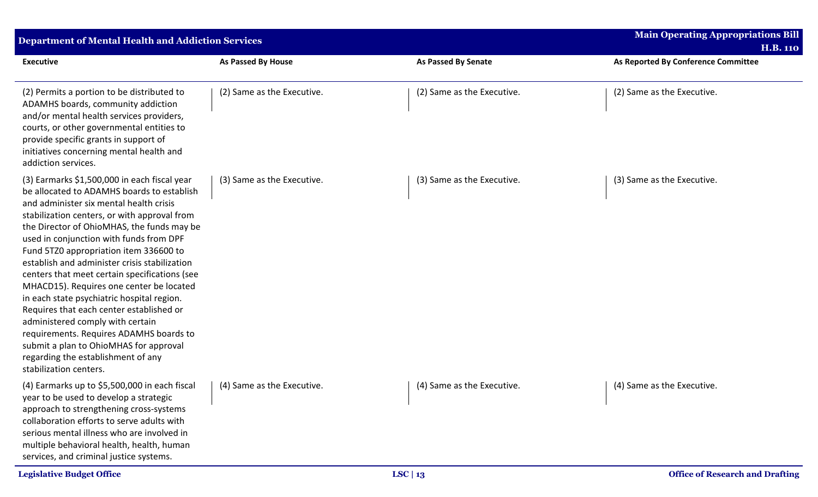| <b>Department of Mental Health and Addiction Services</b>                                                                                                                                                                                                                                                                                                                                                                                                                                                                                                                                                                                                                                                                                                 |                            |                            | <b>Main Operating Appropriations Bill</b><br><b>H.B. 110</b> |
|-----------------------------------------------------------------------------------------------------------------------------------------------------------------------------------------------------------------------------------------------------------------------------------------------------------------------------------------------------------------------------------------------------------------------------------------------------------------------------------------------------------------------------------------------------------------------------------------------------------------------------------------------------------------------------------------------------------------------------------------------------------|----------------------------|----------------------------|--------------------------------------------------------------|
| <b>Executive</b>                                                                                                                                                                                                                                                                                                                                                                                                                                                                                                                                                                                                                                                                                                                                          | <b>As Passed By House</b>  | <b>As Passed By Senate</b> | As Reported By Conference Committee                          |
| (2) Permits a portion to be distributed to<br>ADAMHS boards, community addiction<br>and/or mental health services providers,<br>courts, or other governmental entities to<br>provide specific grants in support of<br>initiatives concerning mental health and<br>addiction services.                                                                                                                                                                                                                                                                                                                                                                                                                                                                     | (2) Same as the Executive. | (2) Same as the Executive. | (2) Same as the Executive.                                   |
| (3) Earmarks \$1,500,000 in each fiscal year<br>be allocated to ADAMHS boards to establish<br>and administer six mental health crisis<br>stabilization centers, or with approval from<br>the Director of OhioMHAS, the funds may be<br>used in conjunction with funds from DPF<br>Fund 5TZ0 appropriation item 336600 to<br>establish and administer crisis stabilization<br>centers that meet certain specifications (see<br>MHACD15). Requires one center be located<br>in each state psychiatric hospital region.<br>Requires that each center established or<br>administered comply with certain<br>requirements. Requires ADAMHS boards to<br>submit a plan to OhioMHAS for approval<br>regarding the establishment of any<br>stabilization centers. | (3) Same as the Executive. | (3) Same as the Executive. | (3) Same as the Executive.                                   |
| (4) Earmarks up to \$5,500,000 in each fiscal<br>year to be used to develop a strategic<br>approach to strengthening cross-systems<br>collaboration efforts to serve adults with<br>serious mental illness who are involved in<br>multiple behavioral health, health, human<br>services, and criminal justice systems.                                                                                                                                                                                                                                                                                                                                                                                                                                    | (4) Same as the Executive. | (4) Same as the Executive. | (4) Same as the Executive.                                   |
| <b>Legislative Budget Office</b>                                                                                                                                                                                                                                                                                                                                                                                                                                                                                                                                                                                                                                                                                                                          |                            | LSC   $13$                 | <b>Office of Research and Drafting</b>                       |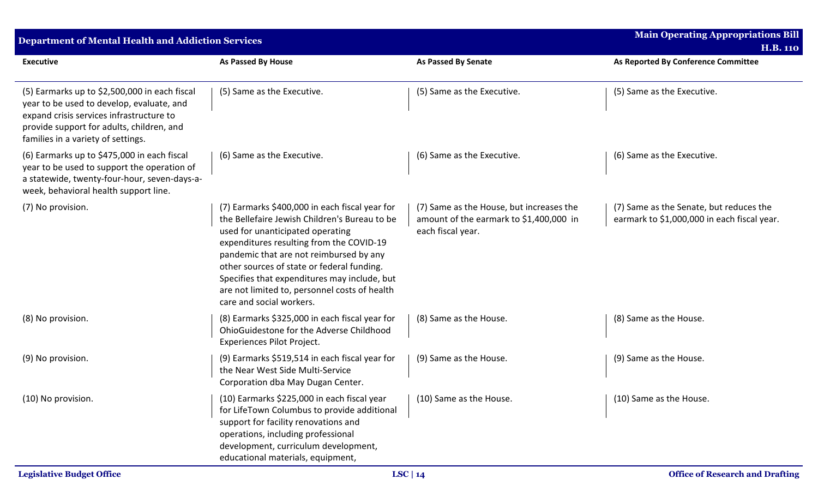| Department of Mental Health and Addiction Services                                                                                                                                                                        |                                                                                                                                                                                                                                                                                                                                                                                                       |                                                                                                          | <b>Main Operating Appropriations Bill</b><br><b>H.B. 110</b>                           |
|---------------------------------------------------------------------------------------------------------------------------------------------------------------------------------------------------------------------------|-------------------------------------------------------------------------------------------------------------------------------------------------------------------------------------------------------------------------------------------------------------------------------------------------------------------------------------------------------------------------------------------------------|----------------------------------------------------------------------------------------------------------|----------------------------------------------------------------------------------------|
| <b>Executive</b>                                                                                                                                                                                                          | <b>As Passed By House</b>                                                                                                                                                                                                                                                                                                                                                                             | <b>As Passed By Senate</b>                                                                               | As Reported By Conference Committee                                                    |
| (5) Earmarks up to \$2,500,000 in each fiscal<br>year to be used to develop, evaluate, and<br>expand crisis services infrastructure to<br>provide support for adults, children, and<br>families in a variety of settings. | (5) Same as the Executive.                                                                                                                                                                                                                                                                                                                                                                            | (5) Same as the Executive.                                                                               | (5) Same as the Executive.                                                             |
| (6) Earmarks up to \$475,000 in each fiscal<br>year to be used to support the operation of<br>a statewide, twenty-four-hour, seven-days-a-<br>week, behavioral health support line.                                       | (6) Same as the Executive.                                                                                                                                                                                                                                                                                                                                                                            | (6) Same as the Executive.                                                                               | (6) Same as the Executive.                                                             |
| (7) No provision.                                                                                                                                                                                                         | (7) Earmarks \$400,000 in each fiscal year for<br>the Bellefaire Jewish Children's Bureau to be<br>used for unanticipated operating<br>expenditures resulting from the COVID-19<br>pandemic that are not reimbursed by any<br>other sources of state or federal funding.<br>Specifies that expenditures may include, but<br>are not limited to, personnel costs of health<br>care and social workers. | (7) Same as the House, but increases the<br>amount of the earmark to \$1,400,000 in<br>each fiscal year. | (7) Same as the Senate, but reduces the<br>earmark to \$1,000,000 in each fiscal year. |
| (8) No provision.                                                                                                                                                                                                         | (8) Earmarks \$325,000 in each fiscal year for<br>OhioGuidestone for the Adverse Childhood<br>Experiences Pilot Project.                                                                                                                                                                                                                                                                              | (8) Same as the House.                                                                                   | (8) Same as the House.                                                                 |
| (9) No provision.                                                                                                                                                                                                         | (9) Earmarks \$519,514 in each fiscal year for<br>the Near West Side Multi-Service<br>Corporation dba May Dugan Center.                                                                                                                                                                                                                                                                               | (9) Same as the House.                                                                                   | (9) Same as the House.                                                                 |
| (10) No provision.                                                                                                                                                                                                        | (10) Earmarks \$225,000 in each fiscal year<br>for LifeTown Columbus to provide additional<br>support for facility renovations and<br>operations, including professional<br>development, curriculum development,<br>educational materials, equipment,                                                                                                                                                 | (10) Same as the House.                                                                                  | (10) Same as the House.                                                                |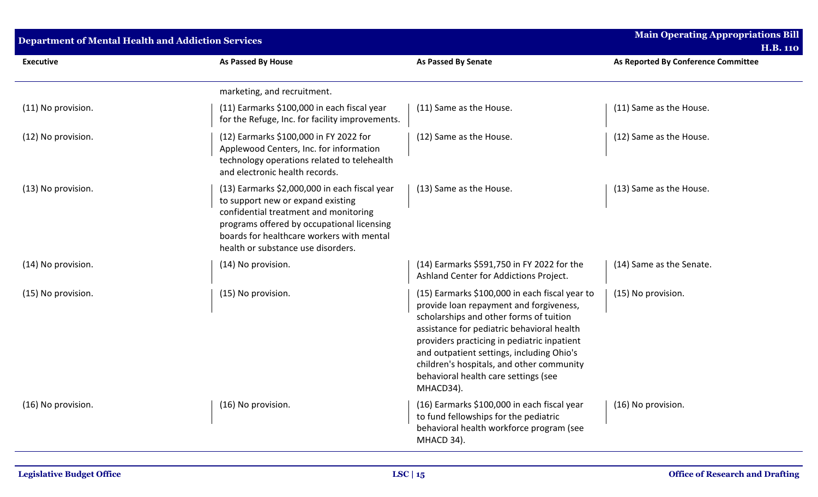| <b>Department of Mental Health and Addiction Services</b> |                                                                                                                                                                                                                                                              |                                                                                                                                                                                                                                                                                                                                                                                  | <b>Main Operating Appropriations Bill</b><br><b>H.B. 110</b> |
|-----------------------------------------------------------|--------------------------------------------------------------------------------------------------------------------------------------------------------------------------------------------------------------------------------------------------------------|----------------------------------------------------------------------------------------------------------------------------------------------------------------------------------------------------------------------------------------------------------------------------------------------------------------------------------------------------------------------------------|--------------------------------------------------------------|
| <b>Executive</b>                                          | As Passed By House                                                                                                                                                                                                                                           | <b>As Passed By Senate</b>                                                                                                                                                                                                                                                                                                                                                       | As Reported By Conference Committee                          |
|                                                           | marketing, and recruitment.                                                                                                                                                                                                                                  |                                                                                                                                                                                                                                                                                                                                                                                  |                                                              |
| (11) No provision.                                        | (11) Earmarks \$100,000 in each fiscal year<br>for the Refuge, Inc. for facility improvements.                                                                                                                                                               | (11) Same as the House.                                                                                                                                                                                                                                                                                                                                                          | (11) Same as the House.                                      |
| (12) No provision.                                        | (12) Earmarks \$100,000 in FY 2022 for<br>Applewood Centers, Inc. for information<br>technology operations related to telehealth<br>and electronic health records.                                                                                           | (12) Same as the House.                                                                                                                                                                                                                                                                                                                                                          | (12) Same as the House.                                      |
| (13) No provision.                                        | (13) Earmarks \$2,000,000 in each fiscal year<br>to support new or expand existing<br>confidential treatment and monitoring<br>programs offered by occupational licensing<br>boards for healthcare workers with mental<br>health or substance use disorders. | (13) Same as the House.                                                                                                                                                                                                                                                                                                                                                          | (13) Same as the House.                                      |
| (14) No provision.                                        | (14) No provision.                                                                                                                                                                                                                                           | (14) Earmarks \$591,750 in FY 2022 for the<br>Ashland Center for Addictions Project.                                                                                                                                                                                                                                                                                             | (14) Same as the Senate.                                     |
| (15) No provision.                                        | (15) No provision.                                                                                                                                                                                                                                           | (15) Earmarks \$100,000 in each fiscal year to<br>provide loan repayment and forgiveness,<br>scholarships and other forms of tuition<br>assistance for pediatric behavioral health<br>providers practicing in pediatric inpatient<br>and outpatient settings, including Ohio's<br>children's hospitals, and other community<br>behavioral health care settings (see<br>MHACD34). | (15) No provision.                                           |
| (16) No provision.                                        | (16) No provision.                                                                                                                                                                                                                                           | (16) Earmarks \$100,000 in each fiscal year<br>to fund fellowships for the pediatric<br>behavioral health workforce program (see<br>MHACD 34).                                                                                                                                                                                                                                   | (16) No provision.                                           |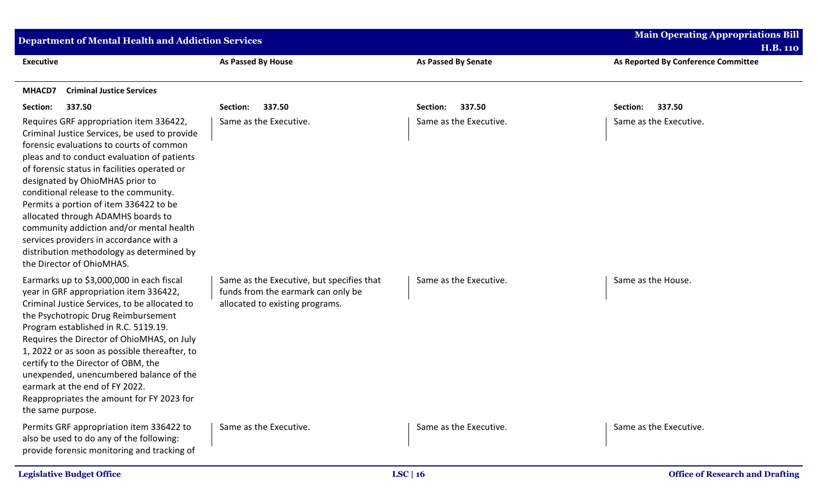| <b>Department of Mental Health and Addiction Services</b>                                                                                                                                                                                                                                                                                                                                                                                                                                                                                                        |                                                                                                                    |                            | <b>Main Operating Appropriations Bill</b><br><b>H.B. 110</b> |
|------------------------------------------------------------------------------------------------------------------------------------------------------------------------------------------------------------------------------------------------------------------------------------------------------------------------------------------------------------------------------------------------------------------------------------------------------------------------------------------------------------------------------------------------------------------|--------------------------------------------------------------------------------------------------------------------|----------------------------|--------------------------------------------------------------|
| <b>Executive</b>                                                                                                                                                                                                                                                                                                                                                                                                                                                                                                                                                 | As Passed By House                                                                                                 | <b>As Passed By Senate</b> | As Reported By Conference Committee                          |
| MHACD7<br><b>Criminal Justice Services</b>                                                                                                                                                                                                                                                                                                                                                                                                                                                                                                                       |                                                                                                                    |                            |                                                              |
| Section:<br>337.50                                                                                                                                                                                                                                                                                                                                                                                                                                                                                                                                               | 337.50<br>Section:                                                                                                 | 337.50<br>Section:         | 337.50<br>Section:                                           |
| Requires GRF appropriation item 336422,<br>Criminal Justice Services, be used to provide<br>forensic evaluations to courts of common<br>pleas and to conduct evaluation of patients<br>of forensic status in facilities operated or<br>designated by OhioMHAS prior to<br>conditional release to the community.<br>Permits a portion of item 336422 to be<br>allocated through ADAMHS boards to<br>community addiction and/or mental health<br>services providers in accordance with a<br>distribution methodology as determined by<br>the Director of OhioMHAS. | Same as the Executive.                                                                                             | Same as the Executive.     | Same as the Executive.                                       |
| Earmarks up to \$3,000,000 in each fiscal<br>year in GRF appropriation item 336422,<br>Criminal Justice Services, to be allocated to<br>the Psychotropic Drug Reimbursement<br>Program established in R.C. 5119.19.<br>Requires the Director of OhioMHAS, on July<br>1, 2022 or as soon as possible thereafter, to<br>certify to the Director of OBM, the<br>unexpended, unencumbered balance of the<br>earmark at the end of FY 2022.<br>Reappropriates the amount for FY 2023 for<br>the same purpose.                                                         | Same as the Executive, but specifies that<br>funds from the earmark can only be<br>allocated to existing programs. | Same as the Executive.     | Same as the House.                                           |
| Permits GRF appropriation item 336422 to<br>also be used to do any of the following:<br>provide forensic monitoring and tracking of                                                                                                                                                                                                                                                                                                                                                                                                                              | Same as the Executive.                                                                                             | Same as the Executive.     | Same as the Executive.                                       |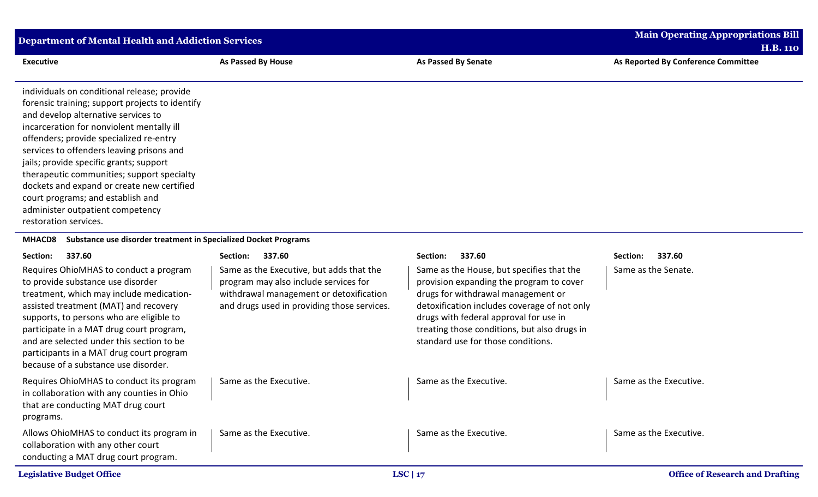| <b>Department of Mental Health and Addiction Services</b>                                                                                                                                                                                                                                                                                                                                                                                                                                                                                                                                               |                                                                                                                                                                             |                                                                                                                                                                                                                                                                                                             | <b>Main Operating Appropriations Bill</b><br><b>H.B. 110</b> |
|---------------------------------------------------------------------------------------------------------------------------------------------------------------------------------------------------------------------------------------------------------------------------------------------------------------------------------------------------------------------------------------------------------------------------------------------------------------------------------------------------------------------------------------------------------------------------------------------------------|-----------------------------------------------------------------------------------------------------------------------------------------------------------------------------|-------------------------------------------------------------------------------------------------------------------------------------------------------------------------------------------------------------------------------------------------------------------------------------------------------------|--------------------------------------------------------------|
| <b>Executive</b>                                                                                                                                                                                                                                                                                                                                                                                                                                                                                                                                                                                        | <b>As Passed By House</b>                                                                                                                                                   | <b>As Passed By Senate</b>                                                                                                                                                                                                                                                                                  | As Reported By Conference Committee                          |
| individuals on conditional release; provide<br>forensic training; support projects to identify<br>and develop alternative services to<br>incarceration for nonviolent mentally ill<br>offenders; provide specialized re-entry<br>services to offenders leaving prisons and<br>jails; provide specific grants; support<br>therapeutic communities; support specialty<br>dockets and expand or create new certified<br>court programs; and establish and<br>administer outpatient competency<br>restoration services.<br>Substance use disorder treatment in Specialized Docket Programs<br><b>MHACD8</b> |                                                                                                                                                                             |                                                                                                                                                                                                                                                                                                             |                                                              |
| Section:<br>337.60                                                                                                                                                                                                                                                                                                                                                                                                                                                                                                                                                                                      | 337.60<br>Section:                                                                                                                                                          | 337.60<br>Section:                                                                                                                                                                                                                                                                                          | 337.60<br>Section:                                           |
| Requires OhioMHAS to conduct a program<br>to provide substance use disorder<br>treatment, which may include medication-<br>assisted treatment (MAT) and recovery<br>supports, to persons who are eligible to<br>participate in a MAT drug court program,<br>and are selected under this section to be<br>participants in a MAT drug court program<br>because of a substance use disorder.                                                                                                                                                                                                               | Same as the Executive, but adds that the<br>program may also include services for<br>withdrawal management or detoxification<br>and drugs used in providing those services. | Same as the House, but specifies that the<br>provision expanding the program to cover<br>drugs for withdrawal management or<br>detoxification includes coverage of not only<br>drugs with federal approval for use in<br>treating those conditions, but also drugs in<br>standard use for those conditions. | Same as the Senate.                                          |
| Requires OhioMHAS to conduct its program<br>in collaboration with any counties in Ohio<br>that are conducting MAT drug court<br>programs.                                                                                                                                                                                                                                                                                                                                                                                                                                                               | Same as the Executive.                                                                                                                                                      | Same as the Executive.                                                                                                                                                                                                                                                                                      | Same as the Executive.                                       |
| Allows OhioMHAS to conduct its program in<br>collaboration with any other court<br>conducting a MAT drug court program.                                                                                                                                                                                                                                                                                                                                                                                                                                                                                 | Same as the Executive.                                                                                                                                                      | Same as the Executive.                                                                                                                                                                                                                                                                                      | Same as the Executive.                                       |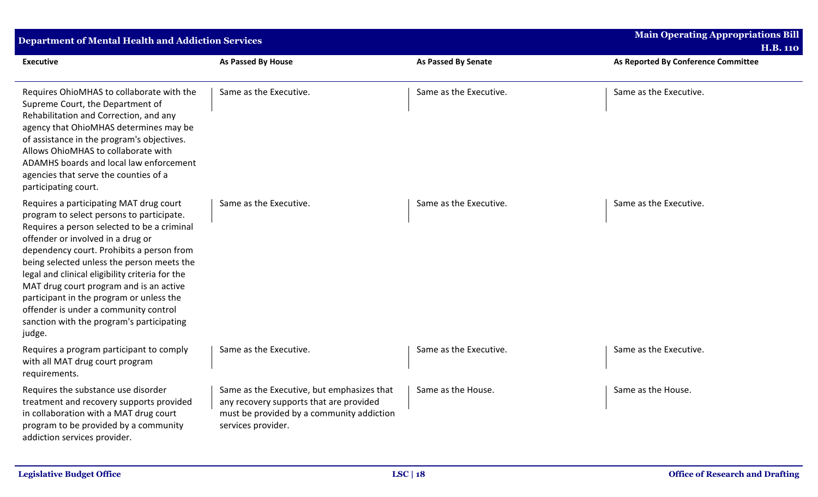| <b>Department of Mental Health and Addiction Services</b>                                                                                                                                                                                                                                                                                                                                                                                                                                                     |                                                                                                                                                          |                            | <b>Main Operating Appropriations Bill</b> |
|---------------------------------------------------------------------------------------------------------------------------------------------------------------------------------------------------------------------------------------------------------------------------------------------------------------------------------------------------------------------------------------------------------------------------------------------------------------------------------------------------------------|----------------------------------------------------------------------------------------------------------------------------------------------------------|----------------------------|-------------------------------------------|
|                                                                                                                                                                                                                                                                                                                                                                                                                                                                                                               |                                                                                                                                                          |                            | <b>H.B. 110</b>                           |
| <b>Executive</b>                                                                                                                                                                                                                                                                                                                                                                                                                                                                                              | As Passed By House                                                                                                                                       | <b>As Passed By Senate</b> | As Reported By Conference Committee       |
| Requires OhioMHAS to collaborate with the<br>Supreme Court, the Department of<br>Rehabilitation and Correction, and any<br>agency that OhioMHAS determines may be<br>of assistance in the program's objectives.<br>Allows OhioMHAS to collaborate with<br>ADAMHS boards and local law enforcement<br>agencies that serve the counties of a<br>participating court.                                                                                                                                            | Same as the Executive.                                                                                                                                   | Same as the Executive.     | Same as the Executive.                    |
| Requires a participating MAT drug court<br>program to select persons to participate.<br>Requires a person selected to be a criminal<br>offender or involved in a drug or<br>dependency court. Prohibits a person from<br>being selected unless the person meets the<br>legal and clinical eligibility criteria for the<br>MAT drug court program and is an active<br>participant in the program or unless the<br>offender is under a community control<br>sanction with the program's participating<br>judge. | Same as the Executive.                                                                                                                                   | Same as the Executive.     | Same as the Executive.                    |
| Requires a program participant to comply<br>with all MAT drug court program<br>requirements.                                                                                                                                                                                                                                                                                                                                                                                                                  | Same as the Executive.                                                                                                                                   | Same as the Executive.     | Same as the Executive.                    |
| Requires the substance use disorder<br>treatment and recovery supports provided<br>in collaboration with a MAT drug court<br>program to be provided by a community<br>addiction services provider.                                                                                                                                                                                                                                                                                                            | Same as the Executive, but emphasizes that<br>any recovery supports that are provided<br>must be provided by a community addiction<br>services provider. | Same as the House.         | Same as the House.                        |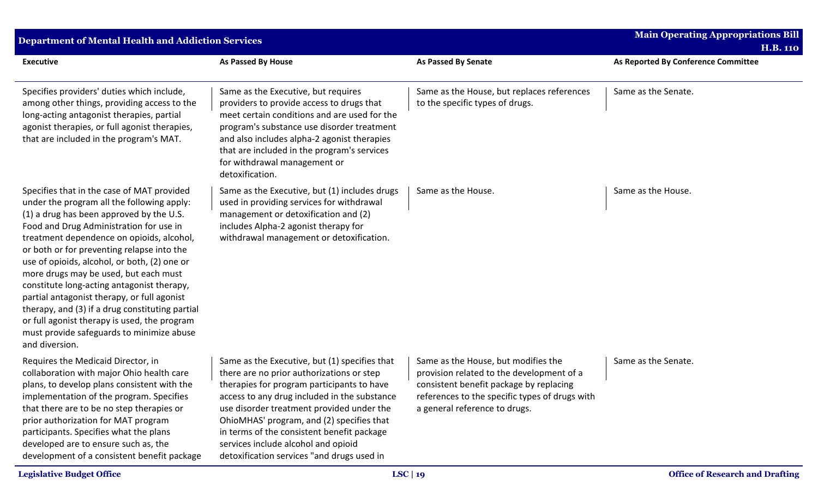| <b>Department of Mental Health and Addiction Services</b>                                                                                                                                                                                                                                                                                                                                                                                                                                                                                                                                                                          |                                                                                                                                                                                                                                                                                                                                                                                                                       |                                                                                                                                                                                                                | <b>Main Operating Appropriations Bill</b><br><b>H.B. 110</b> |
|------------------------------------------------------------------------------------------------------------------------------------------------------------------------------------------------------------------------------------------------------------------------------------------------------------------------------------------------------------------------------------------------------------------------------------------------------------------------------------------------------------------------------------------------------------------------------------------------------------------------------------|-----------------------------------------------------------------------------------------------------------------------------------------------------------------------------------------------------------------------------------------------------------------------------------------------------------------------------------------------------------------------------------------------------------------------|----------------------------------------------------------------------------------------------------------------------------------------------------------------------------------------------------------------|--------------------------------------------------------------|
| <b>Executive</b>                                                                                                                                                                                                                                                                                                                                                                                                                                                                                                                                                                                                                   | <b>As Passed By House</b>                                                                                                                                                                                                                                                                                                                                                                                             | <b>As Passed By Senate</b>                                                                                                                                                                                     | As Reported By Conference Committee                          |
| Specifies providers' duties which include,<br>among other things, providing access to the<br>long-acting antagonist therapies, partial<br>agonist therapies, or full agonist therapies,<br>that are included in the program's MAT.                                                                                                                                                                                                                                                                                                                                                                                                 | Same as the Executive, but requires<br>providers to provide access to drugs that<br>meet certain conditions and are used for the<br>program's substance use disorder treatment<br>and also includes alpha-2 agonist therapies<br>that are included in the program's services<br>for withdrawal management or<br>detoxification.                                                                                       | Same as the House, but replaces references<br>to the specific types of drugs.                                                                                                                                  | Same as the Senate.                                          |
| Specifies that in the case of MAT provided<br>under the program all the following apply:<br>(1) a drug has been approved by the U.S.<br>Food and Drug Administration for use in<br>treatment dependence on opioids, alcohol,<br>or both or for preventing relapse into the<br>use of opioids, alcohol, or both, (2) one or<br>more drugs may be used, but each must<br>constitute long-acting antagonist therapy,<br>partial antagonist therapy, or full agonist<br>therapy, and (3) if a drug constituting partial<br>or full agonist therapy is used, the program<br>must provide safeguards to minimize abuse<br>and diversion. | Same as the Executive, but (1) includes drugs<br>used in providing services for withdrawal<br>management or detoxification and (2)<br>includes Alpha-2 agonist therapy for<br>withdrawal management or detoxification.                                                                                                                                                                                                | Same as the House.                                                                                                                                                                                             | Same as the House.                                           |
| Requires the Medicaid Director, in<br>collaboration with major Ohio health care<br>plans, to develop plans consistent with the<br>implementation of the program. Specifies<br>that there are to be no step therapies or<br>prior authorization for MAT program<br>participants. Specifies what the plans<br>developed are to ensure such as, the<br>development of a consistent benefit package                                                                                                                                                                                                                                    | Same as the Executive, but (1) specifies that<br>there are no prior authorizations or step<br>therapies for program participants to have<br>access to any drug included in the substance<br>use disorder treatment provided under the<br>OhioMHAS' program, and (2) specifies that<br>in terms of the consistent benefit package<br>services include alcohol and opioid<br>detoxification services "and drugs used in | Same as the House, but modifies the<br>provision related to the development of a<br>consistent benefit package by replacing<br>references to the specific types of drugs with<br>a general reference to drugs. | Same as the Senate.                                          |
| <b>Legislative Budget Office</b>                                                                                                                                                                                                                                                                                                                                                                                                                                                                                                                                                                                                   |                                                                                                                                                                                                                                                                                                                                                                                                                       | LSC   19                                                                                                                                                                                                       | <b>Office of Research and Drafting</b>                       |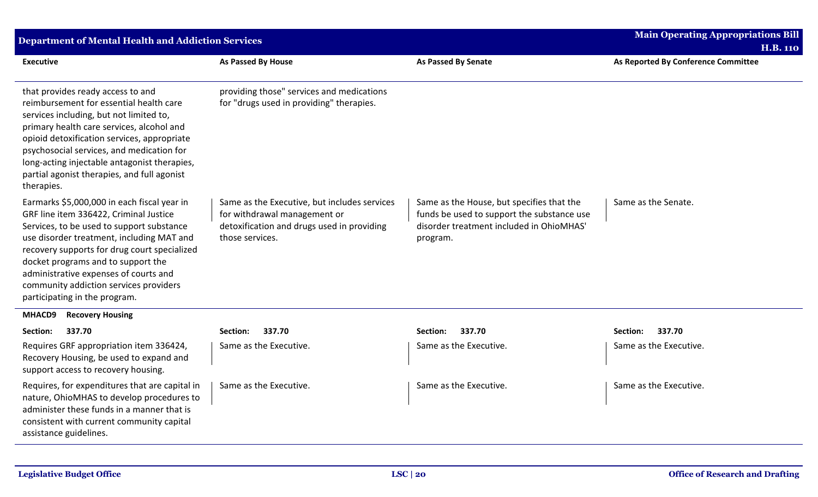| <b>Department of Mental Health and Addiction Services</b>                                                                                                                                                                                                                                                                                                                                 |                                                                                                                                               |                                                                                                                                                 | <b>Main Operating Appropriations Bill</b><br><b>H.B. 110</b> |
|-------------------------------------------------------------------------------------------------------------------------------------------------------------------------------------------------------------------------------------------------------------------------------------------------------------------------------------------------------------------------------------------|-----------------------------------------------------------------------------------------------------------------------------------------------|-------------------------------------------------------------------------------------------------------------------------------------------------|--------------------------------------------------------------|
| <b>Executive</b>                                                                                                                                                                                                                                                                                                                                                                          | As Passed By House                                                                                                                            | As Passed By Senate                                                                                                                             | As Reported By Conference Committee                          |
| that provides ready access to and<br>reimbursement for essential health care<br>services including, but not limited to,<br>primary health care services, alcohol and<br>opioid detoxification services, appropriate<br>psychosocial services, and medication for<br>long-acting injectable antagonist therapies,<br>partial agonist therapies, and full agonist<br>therapies.             | providing those" services and medications<br>for "drugs used in providing" therapies.                                                         |                                                                                                                                                 |                                                              |
| Earmarks \$5,000,000 in each fiscal year in<br>GRF line item 336422, Criminal Justice<br>Services, to be used to support substance<br>use disorder treatment, including MAT and<br>recovery supports for drug court specialized<br>docket programs and to support the<br>administrative expenses of courts and<br>community addiction services providers<br>participating in the program. | Same as the Executive, but includes services<br>for withdrawal management or<br>detoxification and drugs used in providing<br>those services. | Same as the House, but specifies that the<br>funds be used to support the substance use<br>disorder treatment included in OhioMHAS'<br>program. | Same as the Senate.                                          |
| MHACD9<br><b>Recovery Housing</b>                                                                                                                                                                                                                                                                                                                                                         |                                                                                                                                               |                                                                                                                                                 |                                                              |
| 337.70<br>Section:                                                                                                                                                                                                                                                                                                                                                                        | 337.70<br>Section:                                                                                                                            | 337.70<br>Section:                                                                                                                              | 337.70<br>Section:                                           |
| Requires GRF appropriation item 336424,<br>Recovery Housing, be used to expand and<br>support access to recovery housing.                                                                                                                                                                                                                                                                 | Same as the Executive.                                                                                                                        | Same as the Executive.                                                                                                                          | Same as the Executive.                                       |
| Requires, for expenditures that are capital in<br>nature, OhioMHAS to develop procedures to<br>administer these funds in a manner that is<br>consistent with current community capital<br>assistance guidelines.                                                                                                                                                                          | Same as the Executive.                                                                                                                        | Same as the Executive.                                                                                                                          | Same as the Executive.                                       |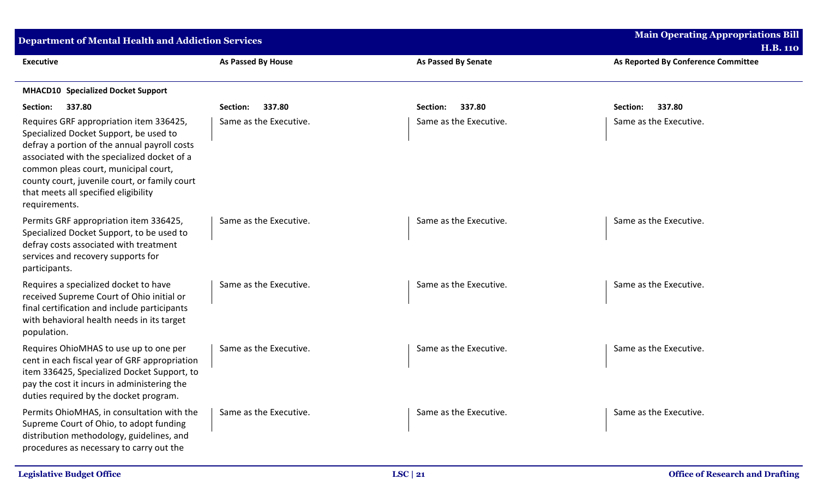| <b>Department of Mental Health and Addiction Services</b>                                                                                                                                                                                                                                                                          |                        |                            | <b>Main Operating Appropriations Bill</b><br><b>H.B. 110</b> |
|------------------------------------------------------------------------------------------------------------------------------------------------------------------------------------------------------------------------------------------------------------------------------------------------------------------------------------|------------------------|----------------------------|--------------------------------------------------------------|
| <b>Executive</b>                                                                                                                                                                                                                                                                                                                   | As Passed By House     | <b>As Passed By Senate</b> | As Reported By Conference Committee                          |
| <b>MHACD10 Specialized Docket Support</b>                                                                                                                                                                                                                                                                                          |                        |                            |                                                              |
| 337.80<br>Section:                                                                                                                                                                                                                                                                                                                 | 337.80<br>Section:     | 337.80<br>Section:         | 337.80<br>Section:                                           |
| Requires GRF appropriation item 336425,<br>Specialized Docket Support, be used to<br>defray a portion of the annual payroll costs<br>associated with the specialized docket of a<br>common pleas court, municipal court,<br>county court, juvenile court, or family court<br>that meets all specified eligibility<br>requirements. | Same as the Executive. | Same as the Executive.     | Same as the Executive.                                       |
| Permits GRF appropriation item 336425,<br>Specialized Docket Support, to be used to<br>defray costs associated with treatment<br>services and recovery supports for<br>participants.                                                                                                                                               | Same as the Executive. | Same as the Executive.     | Same as the Executive.                                       |
| Requires a specialized docket to have<br>received Supreme Court of Ohio initial or<br>final certification and include participants<br>with behavioral health needs in its target<br>population.                                                                                                                                    | Same as the Executive. | Same as the Executive.     | Same as the Executive.                                       |
| Requires OhioMHAS to use up to one per<br>cent in each fiscal year of GRF appropriation<br>item 336425, Specialized Docket Support, to<br>pay the cost it incurs in administering the<br>duties required by the docket program.                                                                                                    | Same as the Executive. | Same as the Executive.     | Same as the Executive.                                       |
| Permits OhioMHAS, in consultation with the<br>Supreme Court of Ohio, to adopt funding<br>distribution methodology, guidelines, and<br>procedures as necessary to carry out the                                                                                                                                                     | Same as the Executive. | Same as the Executive.     | Same as the Executive.                                       |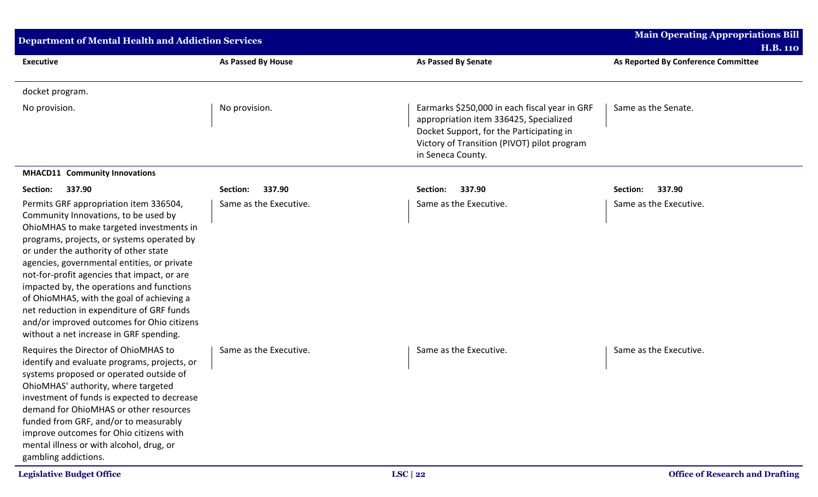| <b>Department of Mental Health and Addiction Services</b>                                                                                                                                                                                                                                                                                                                                                                                                                                                                                       |                           |                                                                                                                                                                                                         | <b>Main Operating Appropriations Bill</b><br><b>H.B. 110</b> |
|-------------------------------------------------------------------------------------------------------------------------------------------------------------------------------------------------------------------------------------------------------------------------------------------------------------------------------------------------------------------------------------------------------------------------------------------------------------------------------------------------------------------------------------------------|---------------------------|---------------------------------------------------------------------------------------------------------------------------------------------------------------------------------------------------------|--------------------------------------------------------------|
| <b>Executive</b>                                                                                                                                                                                                                                                                                                                                                                                                                                                                                                                                | <b>As Passed By House</b> | <b>As Passed By Senate</b>                                                                                                                                                                              | As Reported By Conference Committee                          |
| docket program.                                                                                                                                                                                                                                                                                                                                                                                                                                                                                                                                 |                           |                                                                                                                                                                                                         |                                                              |
| No provision.                                                                                                                                                                                                                                                                                                                                                                                                                                                                                                                                   | No provision.             | Earmarks \$250,000 in each fiscal year in GRF<br>appropriation item 336425, Specialized<br>Docket Support, for the Participating in<br>Victory of Transition (PIVOT) pilot program<br>in Seneca County. | Same as the Senate.                                          |
| <b>MHACD11 Community Innovations</b>                                                                                                                                                                                                                                                                                                                                                                                                                                                                                                            |                           |                                                                                                                                                                                                         |                                                              |
| 337.90<br>Section:                                                                                                                                                                                                                                                                                                                                                                                                                                                                                                                              | 337.90<br>Section:        | 337.90<br>Section:                                                                                                                                                                                      | 337.90<br>Section:                                           |
| Permits GRF appropriation item 336504,<br>Community Innovations, to be used by<br>OhioMHAS to make targeted investments in<br>programs, projects, or systems operated by<br>or under the authority of other state<br>agencies, governmental entities, or private<br>not-for-profit agencies that impact, or are<br>impacted by, the operations and functions<br>of OhioMHAS, with the goal of achieving a<br>net reduction in expenditure of GRF funds<br>and/or improved outcomes for Ohio citizens<br>without a net increase in GRF spending. | Same as the Executive.    | Same as the Executive.                                                                                                                                                                                  | Same as the Executive.                                       |
| Requires the Director of OhioMHAS to<br>identify and evaluate programs, projects, or<br>systems proposed or operated outside of<br>OhioMHAS' authority, where targeted<br>investment of funds is expected to decrease<br>demand for OhioMHAS or other resources<br>funded from GRF, and/or to measurably<br>improve outcomes for Ohio citizens with<br>mental illness or with alcohol, drug, or<br>gambling addictions.                                                                                                                         | Same as the Executive.    | Same as the Executive.                                                                                                                                                                                  | Same as the Executive.                                       |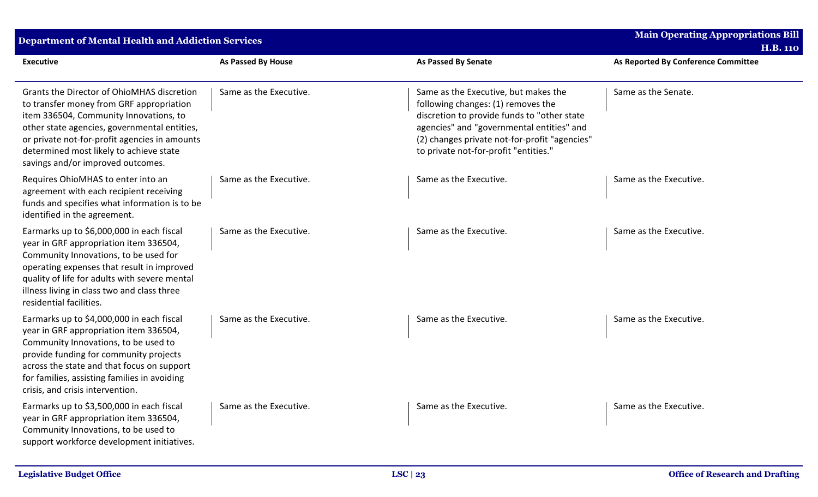| <b>Department of Mental Health and Addiction Services</b>                                                                                                                                                                                                                                                         |                           |                                                                                                                                                                                                                                                                  | <b>Main Operating Appropriations Bill</b><br><b>H.B. 110</b> |
|-------------------------------------------------------------------------------------------------------------------------------------------------------------------------------------------------------------------------------------------------------------------------------------------------------------------|---------------------------|------------------------------------------------------------------------------------------------------------------------------------------------------------------------------------------------------------------------------------------------------------------|--------------------------------------------------------------|
| <b>Executive</b>                                                                                                                                                                                                                                                                                                  | <b>As Passed By House</b> | <b>As Passed By Senate</b>                                                                                                                                                                                                                                       | As Reported By Conference Committee                          |
| Grants the Director of OhioMHAS discretion<br>to transfer money from GRF appropriation<br>item 336504, Community Innovations, to<br>other state agencies, governmental entities,<br>or private not-for-profit agencies in amounts<br>determined most likely to achieve state<br>savings and/or improved outcomes. | Same as the Executive.    | Same as the Executive, but makes the<br>following changes: (1) removes the<br>discretion to provide funds to "other state<br>agencies" and "governmental entities" and<br>(2) changes private not-for-profit "agencies"<br>to private not-for-profit "entities." | Same as the Senate.                                          |
| Requires OhioMHAS to enter into an<br>agreement with each recipient receiving<br>funds and specifies what information is to be<br>identified in the agreement.                                                                                                                                                    | Same as the Executive.    | Same as the Executive.                                                                                                                                                                                                                                           | Same as the Executive.                                       |
| Earmarks up to \$6,000,000 in each fiscal<br>year in GRF appropriation item 336504,<br>Community Innovations, to be used for<br>operating expenses that result in improved<br>quality of life for adults with severe mental<br>illness living in class two and class three<br>residential facilities.             | Same as the Executive.    | Same as the Executive.                                                                                                                                                                                                                                           | Same as the Executive.                                       |
| Earmarks up to \$4,000,000 in each fiscal<br>year in GRF appropriation item 336504,<br>Community Innovations, to be used to<br>provide funding for community projects<br>across the state and that focus on support<br>for families, assisting families in avoiding<br>crisis, and crisis intervention.           | Same as the Executive.    | Same as the Executive.                                                                                                                                                                                                                                           | Same as the Executive.                                       |
| Earmarks up to \$3,500,000 in each fiscal<br>year in GRF appropriation item 336504,<br>Community Innovations, to be used to<br>support workforce development initiatives.                                                                                                                                         | Same as the Executive.    | Same as the Executive.                                                                                                                                                                                                                                           | Same as the Executive.                                       |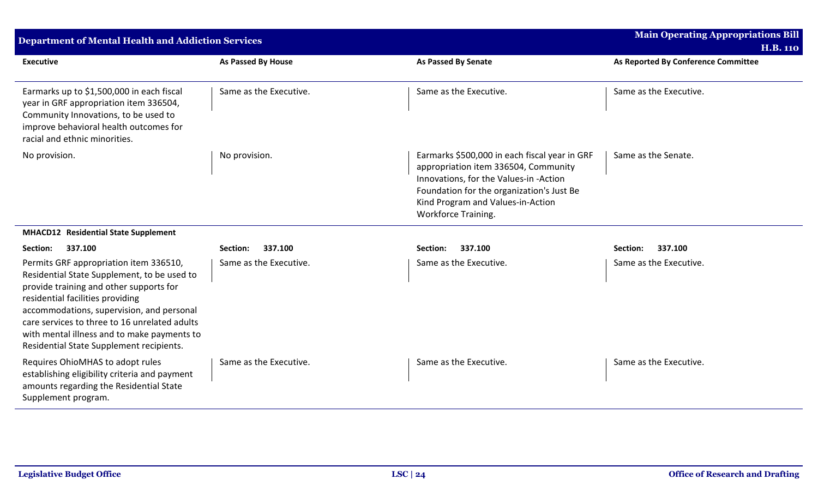| <b>Department of Mental Health and Addiction Services</b>                                                                                                                                                                                                                                                                                                     |                        |                                                                                                                                                                                                                                                | <b>Main Operating Appropriations Bill</b><br><b>H.B. 110</b> |
|---------------------------------------------------------------------------------------------------------------------------------------------------------------------------------------------------------------------------------------------------------------------------------------------------------------------------------------------------------------|------------------------|------------------------------------------------------------------------------------------------------------------------------------------------------------------------------------------------------------------------------------------------|--------------------------------------------------------------|
| <b>Executive</b>                                                                                                                                                                                                                                                                                                                                              | As Passed By House     | As Passed By Senate                                                                                                                                                                                                                            | As Reported By Conference Committee                          |
| Earmarks up to \$1,500,000 in each fiscal<br>year in GRF appropriation item 336504,<br>Community Innovations, to be used to<br>improve behavioral health outcomes for<br>racial and ethnic minorities.                                                                                                                                                        | Same as the Executive. | Same as the Executive.                                                                                                                                                                                                                         | Same as the Executive.                                       |
| No provision.                                                                                                                                                                                                                                                                                                                                                 | No provision.          | Earmarks \$500,000 in each fiscal year in GRF<br>appropriation item 336504, Community<br>Innovations, for the Values-in-Action<br>Foundation for the organization's Just Be<br>Kind Program and Values-in-Action<br><b>Workforce Training.</b> | Same as the Senate.                                          |
| MHACD12 Residential State Supplement                                                                                                                                                                                                                                                                                                                          |                        |                                                                                                                                                                                                                                                |                                                              |
| 337.100<br>Section:                                                                                                                                                                                                                                                                                                                                           | 337.100<br>Section:    | 337.100<br>Section:                                                                                                                                                                                                                            | 337.100<br>Section:                                          |
| Permits GRF appropriation item 336510,<br>Residential State Supplement, to be used to<br>provide training and other supports for<br>residential facilities providing<br>accommodations, supervision, and personal<br>care services to three to 16 unrelated adults<br>with mental illness and to make payments to<br>Residential State Supplement recipients. | Same as the Executive. | Same as the Executive.                                                                                                                                                                                                                         | Same as the Executive.                                       |
| Requires OhioMHAS to adopt rules<br>establishing eligibility criteria and payment<br>amounts regarding the Residential State<br>Supplement program.                                                                                                                                                                                                           | Same as the Executive. | Same as the Executive.                                                                                                                                                                                                                         | Same as the Executive.                                       |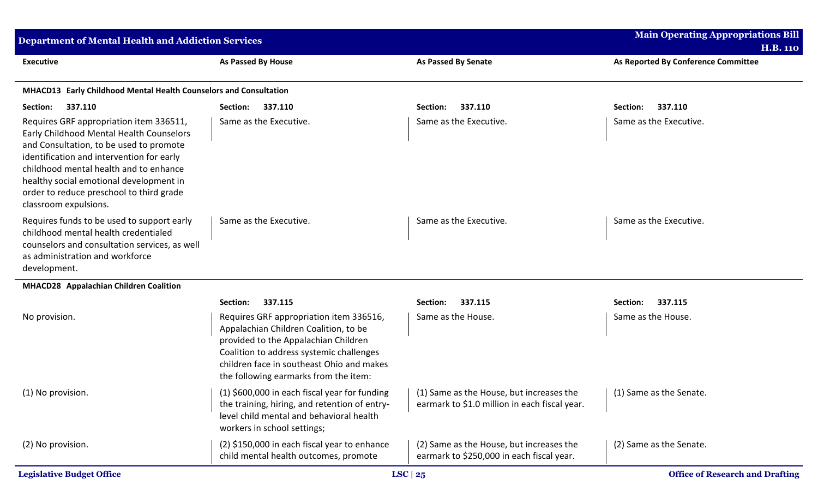| <b>Department of Mental Health and Addiction Services</b>                                                                                                                                                                                                                                                                             | <b>Main Operating Appropriations Bill</b>                                                                                                                                                                                                                  |                                                                                       |                                        |
|---------------------------------------------------------------------------------------------------------------------------------------------------------------------------------------------------------------------------------------------------------------------------------------------------------------------------------------|------------------------------------------------------------------------------------------------------------------------------------------------------------------------------------------------------------------------------------------------------------|---------------------------------------------------------------------------------------|----------------------------------------|
|                                                                                                                                                                                                                                                                                                                                       |                                                                                                                                                                                                                                                            |                                                                                       | <b>H.B. 110</b>                        |
| <b>Executive</b>                                                                                                                                                                                                                                                                                                                      | As Passed By House                                                                                                                                                                                                                                         | <b>As Passed By Senate</b>                                                            | As Reported By Conference Committee    |
| MHACD13 Early Childhood Mental Health Counselors and Consultation                                                                                                                                                                                                                                                                     |                                                                                                                                                                                                                                                            |                                                                                       |                                        |
| 337.110<br>Section:                                                                                                                                                                                                                                                                                                                   | 337.110<br>Section:                                                                                                                                                                                                                                        | 337.110<br>Section:                                                                   | 337.110<br>Section:                    |
| Requires GRF appropriation item 336511,<br>Early Childhood Mental Health Counselors<br>and Consultation, to be used to promote<br>identification and intervention for early<br>childhood mental health and to enhance<br>healthy social emotional development in<br>order to reduce preschool to third grade<br>classroom expulsions. | Same as the Executive.                                                                                                                                                                                                                                     | Same as the Executive.                                                                | Same as the Executive.                 |
| Requires funds to be used to support early<br>childhood mental health credentialed<br>counselors and consultation services, as well<br>as administration and workforce<br>development.                                                                                                                                                | Same as the Executive.                                                                                                                                                                                                                                     | Same as the Executive.                                                                | Same as the Executive.                 |
| MHACD28 Appalachian Children Coalition                                                                                                                                                                                                                                                                                                |                                                                                                                                                                                                                                                            |                                                                                       |                                        |
|                                                                                                                                                                                                                                                                                                                                       | 337.115<br>Section:                                                                                                                                                                                                                                        | 337.115<br>Section:                                                                   | 337.115<br>Section:                    |
| No provision.                                                                                                                                                                                                                                                                                                                         | Requires GRF appropriation item 336516,<br>Appalachian Children Coalition, to be<br>provided to the Appalachian Children<br>Coalition to address systemic challenges<br>children face in southeast Ohio and makes<br>the following earmarks from the item: | Same as the House.                                                                    | Same as the House.                     |
| (1) No provision.                                                                                                                                                                                                                                                                                                                     | (1) \$600,000 in each fiscal year for funding   (1) Same as the House, but increases the<br>the training, hiring, and retention of entry-<br>level child mental and behavioral health<br>workers in school settings;                                       | earmark to \$1.0 million in each fiscal year.                                         | (1) Same as the Senate.                |
| (2) No provision.                                                                                                                                                                                                                                                                                                                     | (2) \$150,000 in each fiscal year to enhance<br>child mental health outcomes, promote                                                                                                                                                                      | (2) Same as the House, but increases the<br>earmark to \$250,000 in each fiscal year. | (2) Same as the Senate.                |
| <b>Legislative Budget Office</b>                                                                                                                                                                                                                                                                                                      |                                                                                                                                                                                                                                                            | LSC $ 25$                                                                             | <b>Office of Research and Drafting</b> |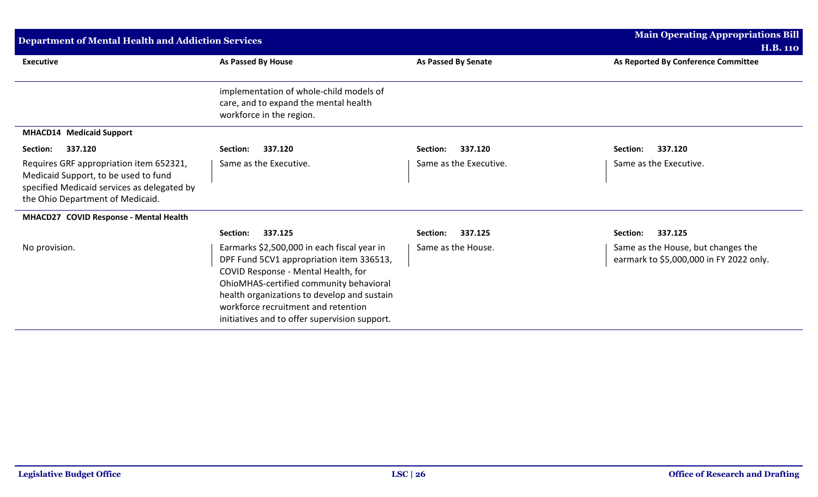| <b>Department of Mental Health and Addiction Services</b>                                                                                                          |                                                                                                                                                                                                                                                                                                                  |                        | <b>Main Operating Appropriations Bill</b>                                     |
|--------------------------------------------------------------------------------------------------------------------------------------------------------------------|------------------------------------------------------------------------------------------------------------------------------------------------------------------------------------------------------------------------------------------------------------------------------------------------------------------|------------------------|-------------------------------------------------------------------------------|
|                                                                                                                                                                    |                                                                                                                                                                                                                                                                                                                  |                        | <b>H.B. 110</b>                                                               |
| <b>Executive</b>                                                                                                                                                   | As Passed By House                                                                                                                                                                                                                                                                                               | As Passed By Senate    | As Reported By Conference Committee                                           |
|                                                                                                                                                                    | implementation of whole-child models of<br>care, and to expand the mental health<br>workforce in the region.                                                                                                                                                                                                     |                        |                                                                               |
| <b>MHACD14</b> Medicaid Support                                                                                                                                    |                                                                                                                                                                                                                                                                                                                  |                        |                                                                               |
| 337.120<br>Section:                                                                                                                                                | 337.120<br><b>Section:</b>                                                                                                                                                                                                                                                                                       | 337.120<br>Section:    | 337.120<br>Section:                                                           |
| Requires GRF appropriation item 652321,<br>Medicaid Support, to be used to fund<br>specified Medicaid services as delegated by<br>the Ohio Department of Medicaid. | Same as the Executive.                                                                                                                                                                                                                                                                                           | Same as the Executive. | Same as the Executive.                                                        |
| MHACD27 COVID Response - Mental Health                                                                                                                             |                                                                                                                                                                                                                                                                                                                  |                        |                                                                               |
|                                                                                                                                                                    | 337.125<br>Section:                                                                                                                                                                                                                                                                                              | 337.125<br>Section:    | 337.125<br>Section:                                                           |
| No provision.                                                                                                                                                      | Earmarks \$2,500,000 in each fiscal year in<br>DPF Fund 5CV1 appropriation item 336513,<br>COVID Response - Mental Health, for<br>OhioMHAS-certified community behavioral<br>health organizations to develop and sustain<br>workforce recruitment and retention<br>initiatives and to offer supervision support. | Same as the House.     | Same as the House, but changes the<br>earmark to \$5,000,000 in FY 2022 only. |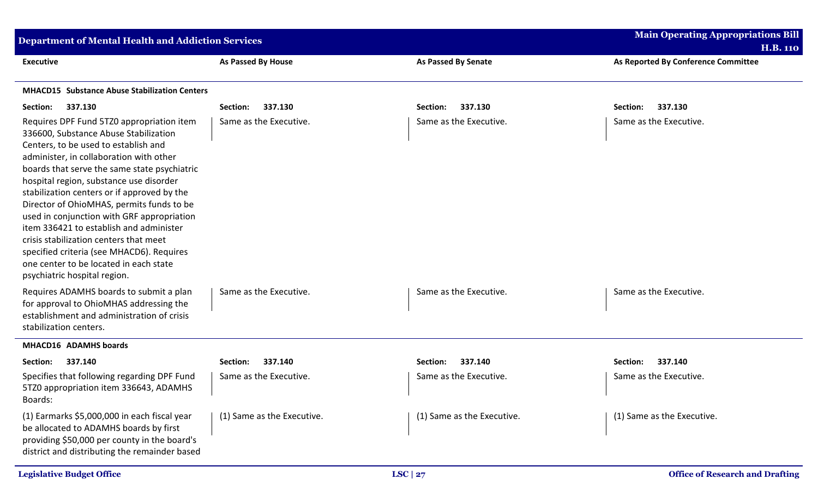| <b>Department of Mental Health and Addiction Services</b>                                                                                                                                                                                                                                                                                                                                                                                                                                                                                                                                                              |                            |                            | <b>Main Operating Appropriations Bill</b><br><b>H.B. 110</b> |
|------------------------------------------------------------------------------------------------------------------------------------------------------------------------------------------------------------------------------------------------------------------------------------------------------------------------------------------------------------------------------------------------------------------------------------------------------------------------------------------------------------------------------------------------------------------------------------------------------------------------|----------------------------|----------------------------|--------------------------------------------------------------|
| <b>Executive</b>                                                                                                                                                                                                                                                                                                                                                                                                                                                                                                                                                                                                       | As Passed By House         | <b>As Passed By Senate</b> | As Reported By Conference Committee                          |
| <b>MHACD15 Substance Abuse Stabilization Centers</b>                                                                                                                                                                                                                                                                                                                                                                                                                                                                                                                                                                   |                            |                            |                                                              |
| 337.130<br>Section:                                                                                                                                                                                                                                                                                                                                                                                                                                                                                                                                                                                                    | 337.130<br>Section:        | 337.130<br>Section:        | 337.130<br>Section:                                          |
| Requires DPF Fund 5TZ0 appropriation item<br>336600, Substance Abuse Stabilization<br>Centers, to be used to establish and<br>administer, in collaboration with other<br>boards that serve the same state psychiatric<br>hospital region, substance use disorder<br>stabilization centers or if approved by the<br>Director of OhioMHAS, permits funds to be<br>used in conjunction with GRF appropriation<br>item 336421 to establish and administer<br>crisis stabilization centers that meet<br>specified criteria (see MHACD6). Requires<br>one center to be located in each state<br>psychiatric hospital region. | Same as the Executive.     | Same as the Executive.     | Same as the Executive.                                       |
| Requires ADAMHS boards to submit a plan<br>for approval to OhioMHAS addressing the<br>establishment and administration of crisis<br>stabilization centers.                                                                                                                                                                                                                                                                                                                                                                                                                                                             | Same as the Executive.     | Same as the Executive.     | Same as the Executive.                                       |
| <b>MHACD16 ADAMHS boards</b>                                                                                                                                                                                                                                                                                                                                                                                                                                                                                                                                                                                           |                            |                            |                                                              |
| 337.140<br>Section:                                                                                                                                                                                                                                                                                                                                                                                                                                                                                                                                                                                                    | 337.140<br>Section:        | 337.140<br>Section:        | 337.140<br>Section:                                          |
| Specifies that following regarding DPF Fund<br>5TZ0 appropriation item 336643, ADAMHS<br>Boards:                                                                                                                                                                                                                                                                                                                                                                                                                                                                                                                       | Same as the Executive.     | Same as the Executive.     | Same as the Executive.                                       |
| (1) Earmarks \$5,000,000 in each fiscal year<br>be allocated to ADAMHS boards by first<br>providing \$50,000 per county in the board's<br>district and distributing the remainder based                                                                                                                                                                                                                                                                                                                                                                                                                                | (1) Same as the Executive. | (1) Same as the Executive. | (1) Same as the Executive.                                   |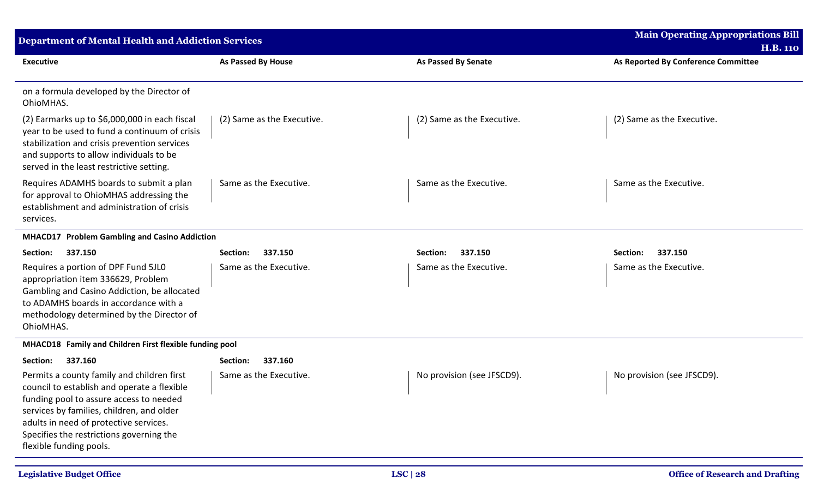| <b>Department of Mental Health and Addiction Services</b>                                                                                                                                                                                                                                          |                            |                            | <b>Main Operating Appropriations Bill</b><br><b>H.B. 110</b> |
|----------------------------------------------------------------------------------------------------------------------------------------------------------------------------------------------------------------------------------------------------------------------------------------------------|----------------------------|----------------------------|--------------------------------------------------------------|
| <b>Executive</b>                                                                                                                                                                                                                                                                                   | As Passed By House         | As Passed By Senate        | As Reported By Conference Committee                          |
| on a formula developed by the Director of<br>OhioMHAS.                                                                                                                                                                                                                                             |                            |                            |                                                              |
| (2) Earmarks up to \$6,000,000 in each fiscal<br>year to be used to fund a continuum of crisis<br>stabilization and crisis prevention services<br>and supports to allow individuals to be<br>served in the least restrictive setting.                                                              | (2) Same as the Executive. | (2) Same as the Executive. | (2) Same as the Executive.                                   |
| Requires ADAMHS boards to submit a plan<br>for approval to OhioMHAS addressing the<br>establishment and administration of crisis<br>services.                                                                                                                                                      | Same as the Executive.     | Same as the Executive.     | Same as the Executive.                                       |
| MHACD17 Problem Gambling and Casino Addiction                                                                                                                                                                                                                                                      |                            |                            |                                                              |
| Section:<br>337.150                                                                                                                                                                                                                                                                                | 337.150<br>Section:        | 337.150<br>Section:        | 337.150<br>Section:                                          |
| Requires a portion of DPF Fund 5JL0<br>appropriation item 336629, Problem<br>Gambling and Casino Addiction, be allocated<br>to ADAMHS boards in accordance with a<br>methodology determined by the Director of<br>OhioMHAS.                                                                        | Same as the Executive.     | Same as the Executive.     | Same as the Executive.                                       |
| MHACD18 Family and Children First flexible funding pool                                                                                                                                                                                                                                            |                            |                            |                                                              |
| 337.160<br>Section:                                                                                                                                                                                                                                                                                | 337.160<br>Section:        |                            |                                                              |
| Permits a county family and children first<br>council to establish and operate a flexible<br>funding pool to assure access to needed<br>services by families, children, and older<br>adults in need of protective services.<br>Specifies the restrictions governing the<br>flexible funding pools. | Same as the Executive.     | No provision (see JFSCD9). | No provision (see JFSCD9).                                   |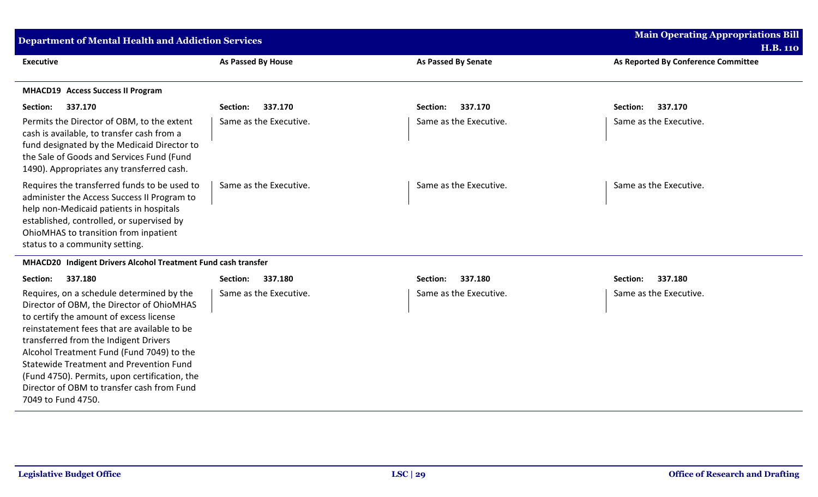| <b>Department of Mental Health and Addiction Services</b>                                                                                                                                                                                                      |                        |                            | <b>Main Operating Appropriations Bill</b><br><b>H.B. 110</b> |
|----------------------------------------------------------------------------------------------------------------------------------------------------------------------------------------------------------------------------------------------------------------|------------------------|----------------------------|--------------------------------------------------------------|
| <b>Executive</b>                                                                                                                                                                                                                                               | As Passed By House     | <b>As Passed By Senate</b> | As Reported By Conference Committee                          |
| MHACD19 Access Success II Program                                                                                                                                                                                                                              |                        |                            |                                                              |
| 337.170<br>Section:                                                                                                                                                                                                                                            | 337.170<br>Section:    | 337.170<br>Section:        | 337.170<br>Section:                                          |
| Permits the Director of OBM, to the extent<br>cash is available, to transfer cash from a<br>fund designated by the Medicaid Director to<br>the Sale of Goods and Services Fund (Fund<br>1490). Appropriates any transferred cash.                              | Same as the Executive. | Same as the Executive.     | Same as the Executive.                                       |
| Requires the transferred funds to be used to<br>administer the Access Success II Program to<br>help non-Medicaid patients in hospitals<br>established, controlled, or supervised by<br>OhioMHAS to transition from inpatient<br>status to a community setting. | Same as the Executive. | Same as the Executive.     | Same as the Executive.                                       |

## **MHACD20 Indigent Drivers Alcohol Treatment Fund cash transfer**

| 337.180                                                                                                                                                                                                                                                                                                                                                                                                                                | 337.180                | Section:               | 337.180                |
|----------------------------------------------------------------------------------------------------------------------------------------------------------------------------------------------------------------------------------------------------------------------------------------------------------------------------------------------------------------------------------------------------------------------------------------|------------------------|------------------------|------------------------|
| Section:                                                                                                                                                                                                                                                                                                                                                                                                                               | Section:               | 337.180                | Section:               |
| Requires, on a schedule determined by the<br>Director of OBM, the Director of OhioMHAS<br>to certify the amount of excess license<br>reinstatement fees that are available to be<br>transferred from the Indigent Drivers<br>Alcohol Treatment Fund (Fund 7049) to the<br>Statewide Treatment and Prevention Fund<br>(Fund 4750). Permits, upon certification, the<br>Director of OBM to transfer cash from Fund<br>7049 to Fund 4750. | Same as the Executive. | Same as the Executive. | Same as the Executive. |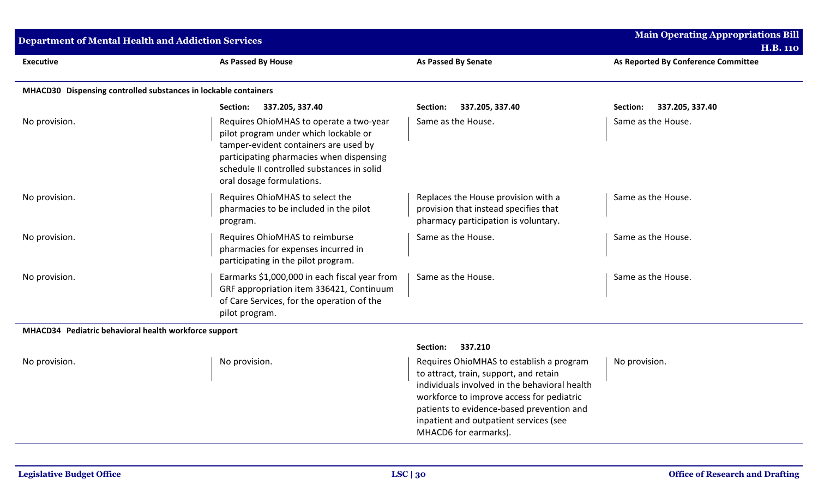| <b>Department of Mental Health and Addiction Services</b>       |                                                                                                                                                                                                                                                  |                                                                                                                                                                                                                                                                                                  | <b>Main Operating Appropriations Bill</b><br><b>H.B. 110</b> |
|-----------------------------------------------------------------|--------------------------------------------------------------------------------------------------------------------------------------------------------------------------------------------------------------------------------------------------|--------------------------------------------------------------------------------------------------------------------------------------------------------------------------------------------------------------------------------------------------------------------------------------------------|--------------------------------------------------------------|
| <b>Executive</b>                                                | As Passed By House                                                                                                                                                                                                                               | As Passed By Senate                                                                                                                                                                                                                                                                              | As Reported By Conference Committee                          |
| MHACD30 Dispensing controlled substances in lockable containers |                                                                                                                                                                                                                                                  |                                                                                                                                                                                                                                                                                                  |                                                              |
|                                                                 | 337.205, 337.40<br>Section:                                                                                                                                                                                                                      | 337.205, 337.40<br>Section:                                                                                                                                                                                                                                                                      | 337.205, 337.40<br>Section:                                  |
| No provision.                                                   | Requires OhioMHAS to operate a two-year<br>pilot program under which lockable or<br>tamper-evident containers are used by<br>participating pharmacies when dispensing<br>schedule II controlled substances in solid<br>oral dosage formulations. | Same as the House.                                                                                                                                                                                                                                                                               | Same as the House.                                           |
| No provision.                                                   | Requires OhioMHAS to select the<br>pharmacies to be included in the pilot<br>program.                                                                                                                                                            | Replaces the House provision with a<br>provision that instead specifies that<br>pharmacy participation is voluntary.                                                                                                                                                                             | Same as the House.                                           |
| No provision.                                                   | Requires OhioMHAS to reimburse<br>pharmacies for expenses incurred in<br>participating in the pilot program.                                                                                                                                     | Same as the House.                                                                                                                                                                                                                                                                               | Same as the House.                                           |
| No provision.                                                   | Earmarks \$1,000,000 in each fiscal year from<br>GRF appropriation item 336421, Continuum<br>of Care Services, for the operation of the<br>pilot program.                                                                                        | Same as the House.                                                                                                                                                                                                                                                                               | Same as the House.                                           |
| MHACD34 Pediatric behavioral health workforce support           |                                                                                                                                                                                                                                                  |                                                                                                                                                                                                                                                                                                  |                                                              |
|                                                                 |                                                                                                                                                                                                                                                  | 337.210<br>Section:                                                                                                                                                                                                                                                                              |                                                              |
| No provision.                                                   | No provision.                                                                                                                                                                                                                                    | Requires OhioMHAS to establish a program<br>to attract, train, support, and retain<br>individuals involved in the behavioral health<br>workforce to improve access for pediatric<br>patients to evidence-based prevention and<br>inpatient and outpatient services (see<br>MHACD6 for earmarks). | No provision.                                                |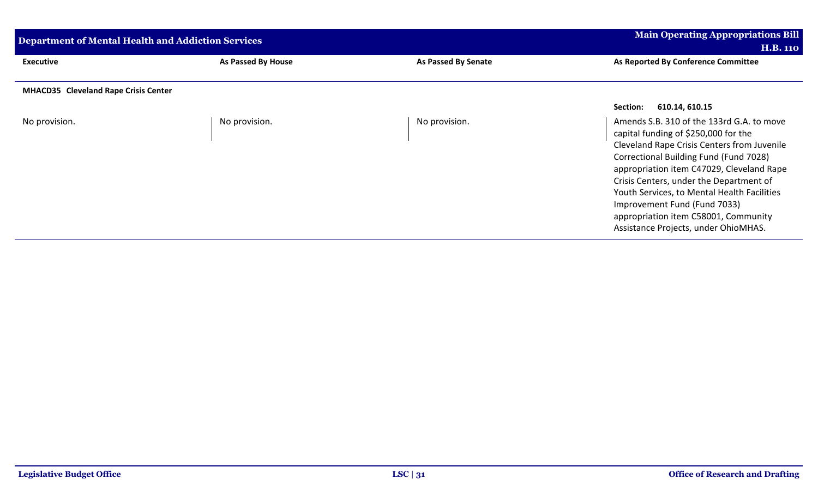| Department of Mental Health and Addiction Services |                    |                            | <b>Main Operating Appropriations Bill</b><br><b>H.B. 110</b>                                                                                                                                                                                                                                                                                                                                                                      |
|----------------------------------------------------|--------------------|----------------------------|-----------------------------------------------------------------------------------------------------------------------------------------------------------------------------------------------------------------------------------------------------------------------------------------------------------------------------------------------------------------------------------------------------------------------------------|
| <b>Executive</b>                                   | As Passed By House | <b>As Passed By Senate</b> | As Reported By Conference Committee                                                                                                                                                                                                                                                                                                                                                                                               |
| MHACD35 Cleveland Rape Crisis Center               |                    |                            |                                                                                                                                                                                                                                                                                                                                                                                                                                   |
|                                                    |                    |                            | 610.14, 610.15<br>Section:                                                                                                                                                                                                                                                                                                                                                                                                        |
| No provision.                                      | No provision.      | No provision.              | Amends S.B. 310 of the 133rd G.A. to move<br>capital funding of \$250,000 for the<br>Cleveland Rape Crisis Centers from Juvenile<br>Correctional Building Fund (Fund 7028)<br>appropriation item C47029, Cleveland Rape<br>Crisis Centers, under the Department of<br>Youth Services, to Mental Health Facilities<br>Improvement Fund (Fund 7033)<br>appropriation item C58001, Community<br>Assistance Projects, under OhioMHAS. |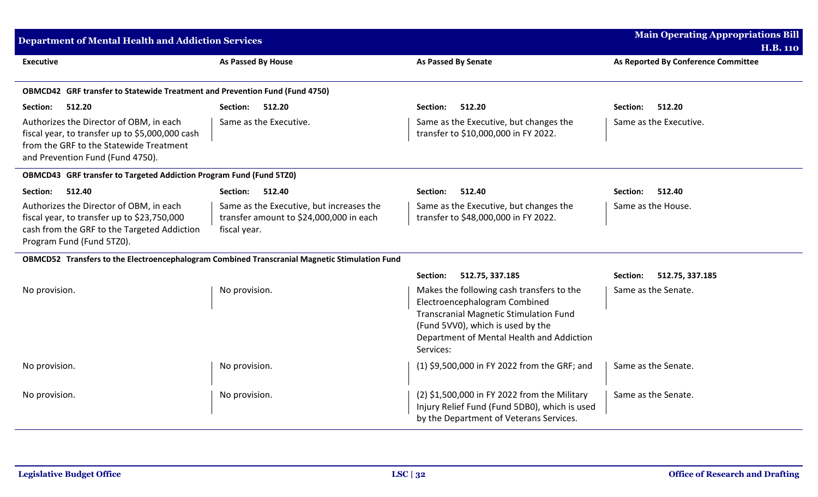| <b>Department of Mental Health and Addiction Services</b>                                                                                                                 |                                                                                                     |                                                                                                                                                                                                                            | <b>Main Operating Appropriations Bill</b><br><b>H.B. 110</b> |
|---------------------------------------------------------------------------------------------------------------------------------------------------------------------------|-----------------------------------------------------------------------------------------------------|----------------------------------------------------------------------------------------------------------------------------------------------------------------------------------------------------------------------------|--------------------------------------------------------------|
| <b>Executive</b>                                                                                                                                                          | As Passed By House                                                                                  | <b>As Passed By Senate</b>                                                                                                                                                                                                 | As Reported By Conference Committee                          |
| <b>OBMCD42</b> GRF transfer to Statewide Treatment and Prevention Fund (Fund 4750)                                                                                        |                                                                                                     |                                                                                                                                                                                                                            |                                                              |
| 512.20<br>Section:                                                                                                                                                        | Section: 512.20                                                                                     | 512.20<br>Section:                                                                                                                                                                                                         | 512.20<br>Section:                                           |
| Authorizes the Director of OBM, in each<br>fiscal year, to transfer up to \$5,000,000 cash<br>from the GRF to the Statewide Treatment<br>and Prevention Fund (Fund 4750). | Same as the Executive.                                                                              | Same as the Executive, but changes the<br>transfer to \$10,000,000 in FY 2022.                                                                                                                                             | Same as the Executive.                                       |
| <b>OBMCD43</b> GRF transfer to Targeted Addiction Program Fund (Fund 5TZ0)                                                                                                |                                                                                                     |                                                                                                                                                                                                                            |                                                              |
| 512.40<br><b>Section:</b>                                                                                                                                                 | Section: 512.40                                                                                     | Section:<br>512.40                                                                                                                                                                                                         | Section:<br>512.40                                           |
| Authorizes the Director of OBM, in each<br>fiscal year, to transfer up to \$23,750,000<br>cash from the GRF to the Targeted Addiction<br>Program Fund (Fund 5TZ0).        | Same as the Executive, but increases the<br>transfer amount to \$24,000,000 in each<br>fiscal year. | Same as the Executive, but changes the<br>transfer to \$48,000,000 in FY 2022.                                                                                                                                             | Same as the House.                                           |
|                                                                                                                                                                           | OBMCD52 Transfers to the Electroencephalogram Combined Transcranial Magnetic Stimulation Fund       |                                                                                                                                                                                                                            |                                                              |
|                                                                                                                                                                           |                                                                                                     | 512.75, 337.185<br>Section:                                                                                                                                                                                                | 512.75, 337.185<br>Section:                                  |
| No provision.                                                                                                                                                             | No provision.                                                                                       | Makes the following cash transfers to the<br>Electroencephalogram Combined<br><b>Transcranial Magnetic Stimulation Fund</b><br>(Fund 5VV0), which is used by the<br>Department of Mental Health and Addiction<br>Services: | Same as the Senate.                                          |
| No provision.                                                                                                                                                             | No provision.                                                                                       | (1) \$9,500,000 in FY 2022 from the GRF; and                                                                                                                                                                               | Same as the Senate.                                          |
| No provision.                                                                                                                                                             | No provision.                                                                                       | (2) \$1,500,000 in FY 2022 from the Military<br>Injury Relief Fund (Fund 5DB0), which is used<br>by the Department of Veterans Services.                                                                                   | Same as the Senate.                                          |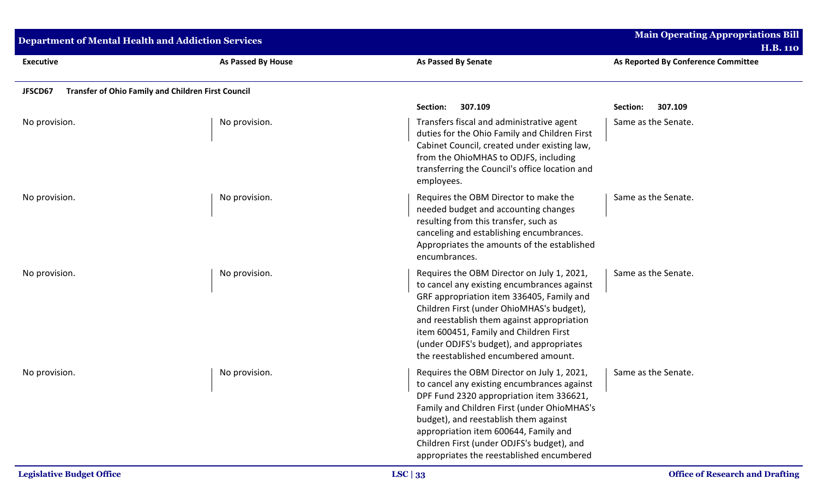| Department of Mental Health and Addiction Services                   |                           |                                                                                                                                                                                                                                                                                                                                                                   | <b>Main Operating Appropriations Bill</b><br><b>H.B. 110</b> |
|----------------------------------------------------------------------|---------------------------|-------------------------------------------------------------------------------------------------------------------------------------------------------------------------------------------------------------------------------------------------------------------------------------------------------------------------------------------------------------------|--------------------------------------------------------------|
| <b>Executive</b>                                                     | <b>As Passed By House</b> | <b>As Passed By Senate</b>                                                                                                                                                                                                                                                                                                                                        | As Reported By Conference Committee                          |
| JFSCD67<br><b>Transfer of Ohio Family and Children First Council</b> |                           |                                                                                                                                                                                                                                                                                                                                                                   |                                                              |
|                                                                      |                           | 307.109<br>Section:                                                                                                                                                                                                                                                                                                                                               | 307.109<br>Section:                                          |
| No provision.                                                        | No provision.             | Transfers fiscal and administrative agent<br>duties for the Ohio Family and Children First<br>Cabinet Council, created under existing law,<br>from the OhioMHAS to ODJFS, including<br>transferring the Council's office location and<br>employees.                                                                                                               | Same as the Senate.                                          |
| No provision.                                                        | No provision.             | Requires the OBM Director to make the<br>needed budget and accounting changes<br>resulting from this transfer, such as<br>canceling and establishing encumbrances.<br>Appropriates the amounts of the established<br>encumbrances.                                                                                                                                | Same as the Senate.                                          |
| No provision.                                                        | No provision.             | Requires the OBM Director on July 1, 2021,<br>to cancel any existing encumbrances against<br>GRF appropriation item 336405, Family and<br>Children First (under OhioMHAS's budget),<br>and reestablish them against appropriation<br>item 600451, Family and Children First<br>(under ODJFS's budget), and appropriates<br>the reestablished encumbered amount.   | Same as the Senate.                                          |
| No provision.                                                        | No provision.             | Requires the OBM Director on July 1, 2021,<br>to cancel any existing encumbrances against<br>DPF Fund 2320 appropriation item 336621,<br>Family and Children First (under OhioMHAS's<br>budget), and reestablish them against<br>appropriation item 600644, Family and<br>Children First (under ODJFS's budget), and<br>appropriates the reestablished encumbered | Same as the Senate.                                          |
| <b>Legislative Budget Office</b>                                     |                           | LSC $\vert$ 33                                                                                                                                                                                                                                                                                                                                                    | <b>Office of Research and Drafting</b>                       |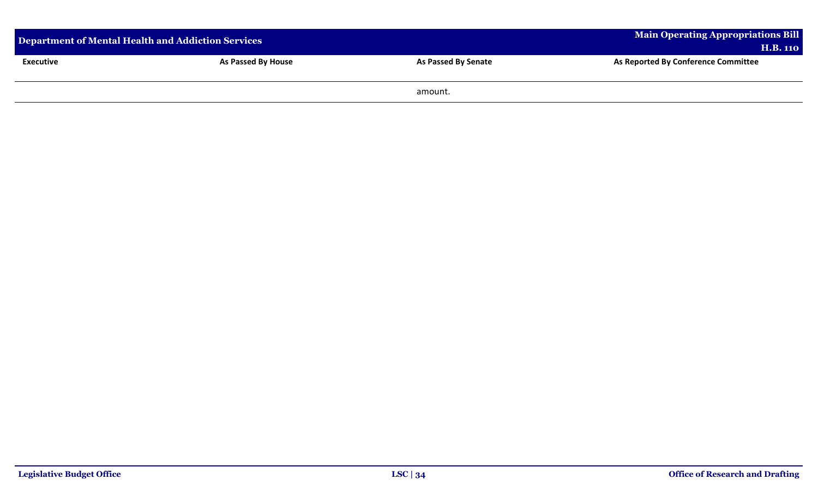| Department of Mental Health and Addiction Services |                           |                            | Main Operating Appropriations Bill<br><b>H.B. 110</b> |
|----------------------------------------------------|---------------------------|----------------------------|-------------------------------------------------------|
| <b>Executive</b>                                   | <b>As Passed By House</b> | <b>As Passed By Senate</b> | As Reported By Conference Committee                   |
|                                                    |                           | amount.                    |                                                       |